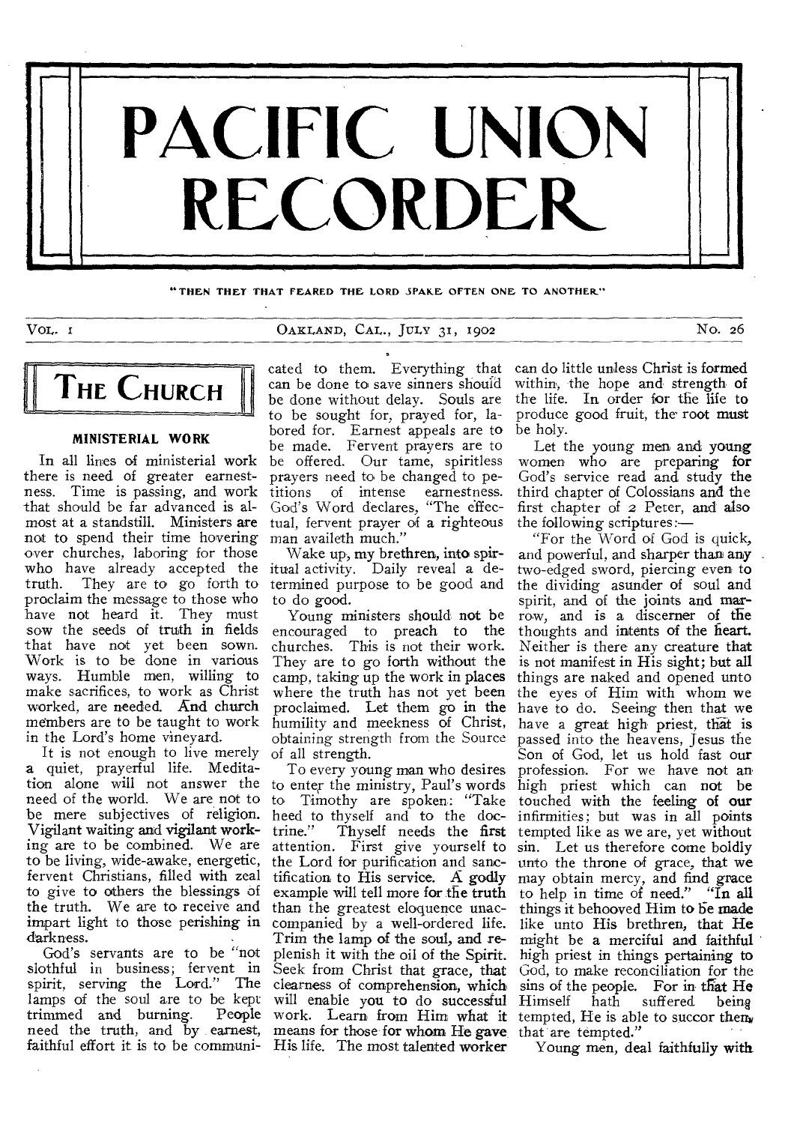

**"THEN THEY THAT FEARED THE LORD SPAKE OFTEN ONE TO ANOTHER"** 

VoL. OAKLAND, CAL., JULY 31, 1902 No. 26



# **MINISTERIAL WORK**

there is need of greater earnestness. Time is passing, and work that should be far advanced is almost at a standstill. Ministers are not to spend their time hovering over churches, laboring for those who have already accepted the truth. They are to go forth to proclaim the message to those who have not heard it. They must sow the seeds of truth in fields that have not yet been sown. Work is to be done in various ways. Humble men, willing to make sacrifices, to work as Christ worked, are needed. And church members are to be taught to work in the Lord's home vineyard.

It is not enough to live merely a quiet, prayerful life. Meditation alone will not answer the to enter the ministry, Paul's words need of the world. We are not to to Timothy are spoken: "Take be mere subjectives of religion. heed to thyself and to the doc-Vigilant waiting and vigilant working are to be combined. We are to be living, wide-awake, energetic, fervent Christians, filled with zeal to give to others the blessings of the truth. We are to receive and impart light to those perishing in darkness.

God's servants are to be "not slothful in business; fervent in spirit, serving the Lord." The lamps of the soul are to be kept<br>trimmed and burning. People trimmed and burning. need the truth, and by earnest, faithful effort it is to be communi-

In all lines of ministerial work be offered. Our tame, spiritless cated to them. Everything that can be done to save sinners should be done without delay. Souls are to be sought for, prayed for, labored for. Earnest appeals are to be made. Fervent prayers are to prayers need to be changed to petitions of intense earnestness. God's Word declares, "The effectual, fervent prayer of a righteous man availeth much."

> Wake up, my brethren, into spiritual activity. Daily reveal a determined purpose to be good and to do good.

Young ministers should not be encouraged to preach to the churches. This is not their work. They are to go forth without the camp, taking up the work in places where the truth has not yet been proclaimed. Let them go in the humility and meekness of Christ, obtaining strength from the Source of all strength.

To every young man who desires trine." Thyself needs the first attention. First give yourself to the Lord for purification and sanctification to His service. A godly example will tell more for the truth than the greatest eloquence unaccompanied by a well-ordered life. Trim the lamp of the soul, and replenish it with the oil of the Spirit. Seek from Christ that grace, that clearness of comprehension, which will enable you to do successful work. Learn from Him what it tempted, He is able to succor them. means for those for whom He gave His life. The most talented worker

can do little unless Christ is formed within, the hope and strength of the life. In order for the life to produce good fruit, the root must be holy.

Let the young men and young women who are preparing for God's service read and study the third chapter of Colossians and the first chapter of 2 Peter, and also the following scriptures:—

"For the Word of God is quick, and powerful, and sharper than any two-edged sword, piercing even to the dividing asunder of soul and spirit, and of the joints and marrow, and is a discerner of the thoughts and intents of the heart. Neither is there any creature that is not manifest in His sight; but all things are naked and opened unto the eyes of Him with whom we have to do. Seeing then that we have a great high priest, that is passed into the heavens, Jesus the Son of God, let us hold fast our profession. For we have not an high priest which can not be touched with the feeling of our infirmities; but was in all points tempted like as we are, yet without sin. Let us therefore come boldly unto the throne of grace, that we may obtain mercy, and find grace to help in time of need." "In all things it behooved Him to be made like unto His brethren, that He might be a merciful and faithful high priest in things pertaining to God, to make reconciliation for the sins of the people. For in that He<br>Himself hath suffered being hath suffered that are tempted."

Young men, deal faithfully with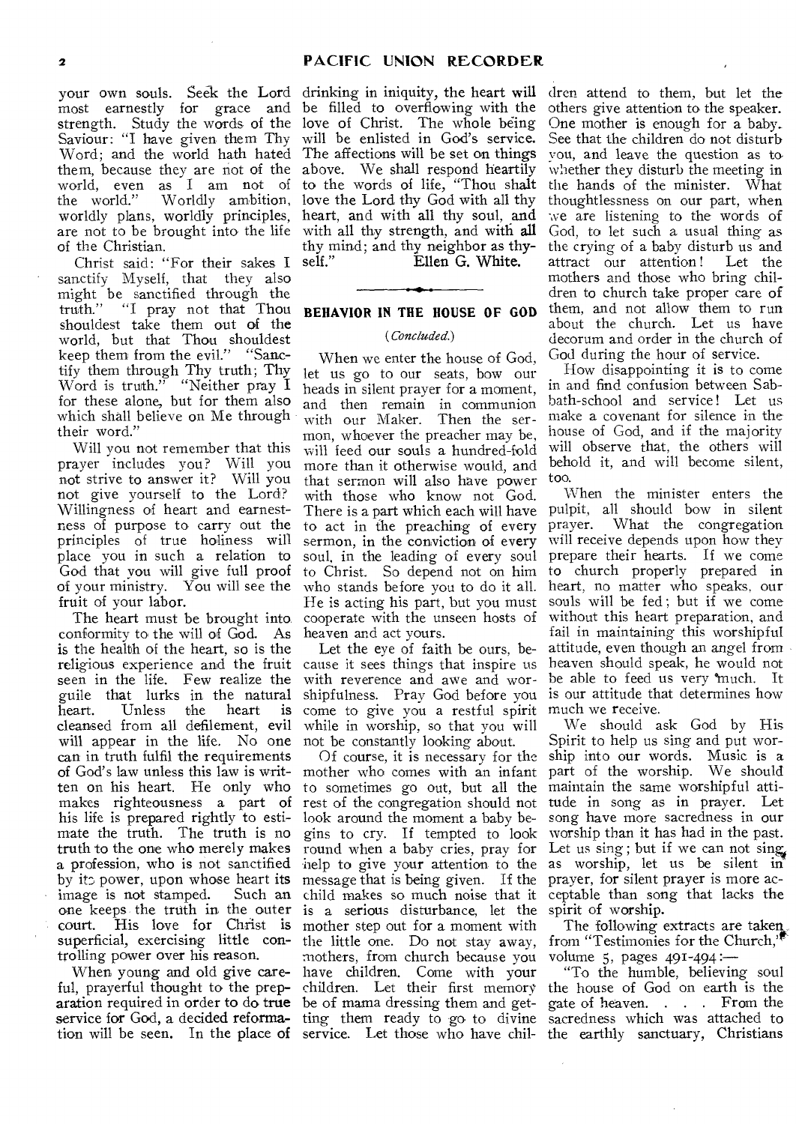your own souls. Seek the Lord drinking in iniquity, the heart will dren attend to them, but let the most earnestly for grace and be filled to overflowing with the the world." Worldly ambition, love the Lord thy God with all thy worldly plans, worldly principles, heart, and with all thy soul, are not to be brought into the life with all thy strength, and with all of the Christian.

Christ said: "For their sakes I self." sanctify Myself, that they also might be sanctified through the truth." "I pray not that Thou shouldest take them out of the world, but that Thou shouldest keep them from the evil." "Sanctify them through Thy truth; Thy Word is truth." "Neither pray I for these alone, but for them also which shall believe on Me through their word."

Will you not remember that this prayer includes you? Will you not strive to answer it? Will you not give yourself to the Lord? Willingness of heart and earnestness of purpose to carry out the principles of true holiness will place you in such a relation to God that you will give full proof of your ministry. You will see the fruit of your labor.

The heart must be brought into conformity to the will of God. As is the health of the heart, so is the religious experience and the fruit cause it sees things that inspire us seen in the life. Few realize the guile that lurks in the natural<br>heart. Unless the heart is Unless the cleansed from all defilement, evil will appear in the life. No one can in truth fulfil the requirements of God's law unless this law is written on his heart. He only who makes righteousness a part of his life is prepared rightly to estimate the truth. The truth is no truth to the one who merely makes a profession, who is not sanctified help to give your attention to the as worship, let us be silent in by its power, upon whose heart its message that is being given. If the prayer, for silent prayer is more acimage is not stamped. court. His love for Christ is mother step out for a moment with superficial, exercising little con-the little one. Do not stay away, trolling power over his reason.

aration required in order to do true be of mama dressing them and get-

strength. Study the words of the love of Christ. The whole being Saviour: "I have given them Thy will be enlisted in God's service. Word; and the world hath hated The affections will be set on things them, because they are not of the above. We shall respond heartily world, even as I am not of to the words of life, "Thou shalt thy mind; and thy neighbor as thy-Ellen G. White.

# **BEHAVIOR IN THE HOUSE OF GOD**

#### *(Concluded.)*

When we enter the house of God, let us go to our seats, bow our heads in silent prayer for a moment, and then remain in communion with our Maker. Then the sermon, whoever the preacher may be, will feed our souls a hundred-fold more than it otherwise would, and that sermon will also have power with those who know not God. There is a part which each will have to act in the preaching of every sermon, in the conviction of every soul, in the leading of every soul He is acting his part, but you must cooperate with the unseen hosts of heaven and act yours.

Let the eye of faith be ours, bewith reverence and awe and worcome to give you a restful spirit while in worship, so that you will not be constantly looking about.

one keeps the truth in the outer is a serious disturbance, let the When young and old give care-have children. Come with your ful, prayerful thought to the prep-children. Let their first memory service for God, a decided reforma- ting them ready to go to divine Of course, it is necessary for the mother who comes with an infant to sometimes go out, but all the rest of the congregation should not look around the moment a baby begins to cry. If tempted to look round when a baby cries, pray for mothers, from church because you

others give attention to the speaker. One mother is enough for a baby. See that the children do not disturb you, and leave the question as to, whether they disturb the meeting in the hands of the minister. What thoughtlessness on our part, when we are listening to the words of God, to let such a usual thing as the crying of a baby disturb us and attract our attention! Let the mothers and those who bring children to church take proper care of them, and not allow them to run about the church. Let us have decorum and order in the church of God during the hour of service.

How disappointing it is to come in and find confusion between Sabbath-school and service! Let us make a covenant for silence in the house of God, and if the majority will observe that, the others will behold it, and will become silent, too.

to Christ. So depend not on him to church properly prepared in who stands before you to do it all. heart, no matter who speaks, our shipfulness. Pray God before you is our attitude that determines how When the minister enters the pulpit, all should bow in silent prayer. What the congregation will receive depends upon how they prepare their hearts. If we come souls will be fed; but if we come without this heart preparation, and fail in maintaining this worshipful attitude, even though an angel from heaven should speak, he would not be able to feed us very \*much. It much we receive.

child makes so much noise that it ceptable than song that lacks the We should ask God by His Spirit to help us sing and put worship into our words. Music is a part of the worship. We should maintain the same worshipful attitude in song as in prayer. Let song have more sacredness in our worship than it has had in the past. Let us sing; but if we can not sing spirit of worship.

The following extracts are taken. from "Testimonies for the Church,' volume 5, pages  $491-494$ :

tion will be seen. In the place of service. Let those who have chil-the earthly sanctuary, Christians "To the humble, believing soul the house of God on earth is the gate of heaven. . . . From the sacredness which was attached to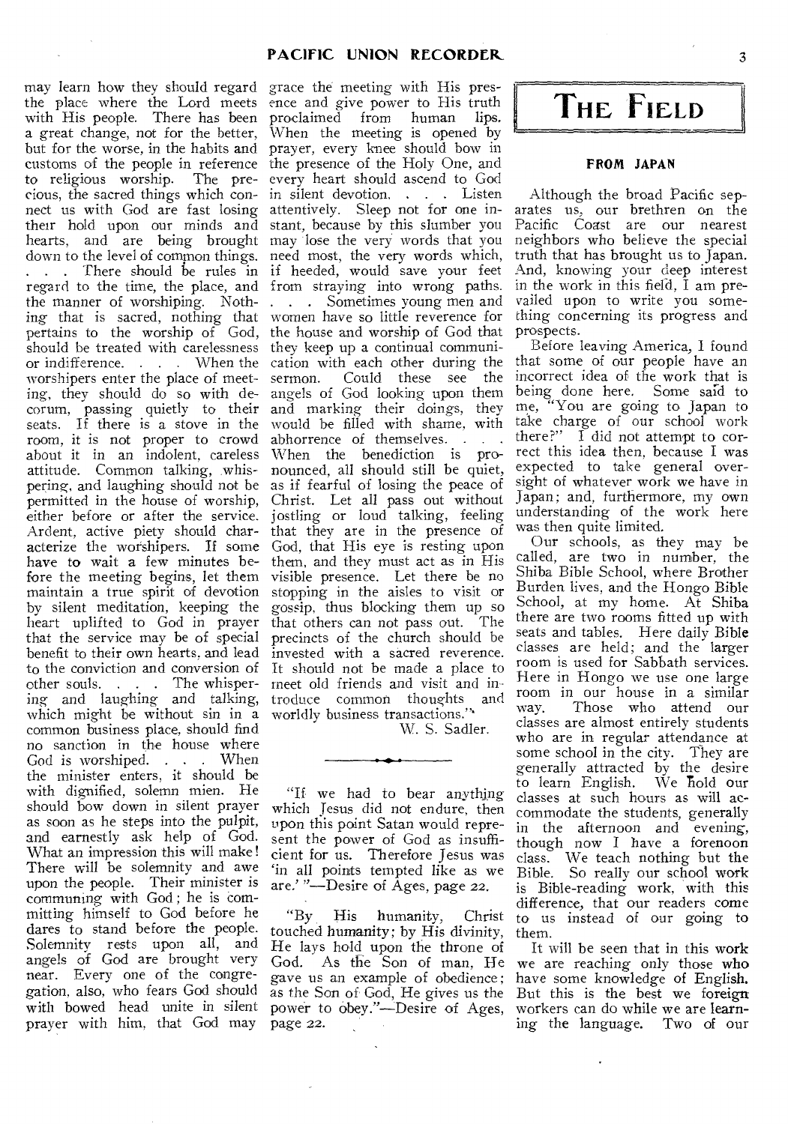may learn how they should regard grace the meeting with His presthe place where the Lord meets ence and give power to His truth with His people. There has been proclaimed from human lips. a great change, not for the better, but for the worse, in the habits and customs of the people in reference the presence of the Holy One, and to religious worship. The pre-every heart should ascend to God cious, the sacred things which con-in silent devotion. . . Listen nect us with God are fast losing their hold upon our minds and hearts, and are being brought down to the level of common things.<br>
... There should be rules in regard to the time, the place, and from straying into wrong paths. the manner of worshiping. Noth-. . . Sometimes young men and ing that is sacred, nothing that pertains to the worship of God, should be treated with carelessness they keep up a continual communior indifference. . . . When the cation with each other during the worshipers enter the place of meet-sermon. Could these see the ing, they should do so with de-angels of God looking upon them corum, passing quietly to their seats. If there is a stove in the seats. If there is a stove in the would be filled with shame, with room, it is not proper to crowd abhorrence of themselves.  $\ldots$ about it in an indolent, careless When the benediction is proattitude. Common talking, whis-nounced, all should still be quiet, pering, and laughing should not be as if fearful of losing the peace of permitted in the house of worship, Christ. Let all pass out without either before or after the service. jostling or loud talking, feeling Ardent, active piety should characterize the worshipers. If some have to wait a few minutes before the meeting begins, let them maintain a true spirit of devotion by silent meditation, keeping the heart uplifted to God in prayer that the service may be of special benefit to their own hearts. and lead to the conviction and conversion of other souls. . . The whispering and laughing and talking, which might be without sin in a common business place, should find no sanction in the house where God is worshiped. . . When the minister enters, it should be with dignified, solemn mien. He should bow down in silent prayer as soon as he steps into the pulpit, and earnestly ask help of God. What an impression this will make! There will be solemnity and awe upon the people. Their minister is communing with God ; he is committing himself to God before he dares to stand before the people. Solemnity rests upon all, and angels of God are brought very near. Every one of the congregation, also, who fears God should with bowed head unite in silent power to obey."—Desire of Ages, prayer with him, that God may

When the meeting is opened by prayer, every knee should bow in attentively. Sleep not for one instant, because by this slumber you may lose the very words that you need most, the very words which, if heeded, would save your feet women have so little reverence for the house and worship of God that and marking their doings, they would be filled with shame, with that they are in the presence of God, that His eye is resting upon them, and they must act as in His visible presence. Let there be no stopping in the aisles to visit or gossip, thus blocking them up so that others can not pass out. The precincts of the church should be invested with a sacred reverence. It should not be made a place to meet old friends and visit and introduce common thoughts and worldly business transactions.'"

W. S. Sadler.

"If we had to bear anything which Jesus did not endure, then upon this point Satan would represent the power of God as insufficient for us. Therefore Jesus was `in all points tempted like as we are.' "—Desire of Ages, page 22.

"By His humanity, Christ touched humanity; by His divinity, He lays hold upon the throne of God. As the Son of man, He gave us an example of obedience ; as the Son of God, He gives us the page 22.

**THE, FIELD** 

# FROM JAPAN

Although the broad Pacific separates us, our brethren on the Pacific Coast are our nearest neighbors who believe the special truth that has brought us to Japan. And, knowing your deep interest in the work in this field, I am prevailed upon to write you something concerning its progress and prospects.

Before leaving America, I found that some of our people have an incorrect idea of the work that is being done here, Some said to me, "You are going to Japan to take charge of our school work there?"  $\tilde{I}$  did not attempt to correct this idea then, because I was expected to take general oversight of whatever work we have in Japan; and, furthermore, my own understanding of the work here was then quite limited.

Our schools, as they may be called, are two in number, the Shiba Bible School, where Brother Burden lives, and the Hongo Bible School, at my home. At Shiba there are two rooms fitted up with seats and tables. Here daily Bible classes are held; and the larger room is used for Sabbath services. Here in Hongo we use one large room in our house in a similar<br>way. Those who attend our Those who attend our classes are almost entirely students who are in regular attendance at some school in the city. They are generally attracted by the desire to learn English. We hold our classes at such hours as will accommodate the students, generally in the afternoon and evening, though now I have a forenoon class. We teach nothing but the Bible. So really our school work is Bible-reading work, with this difference, that our readers come to us instead of our going to them.

It will be seen that in this work we are reaching only those who have some knowledge of English. But this is the best we foreign workers can do while we are learning the language. Two of our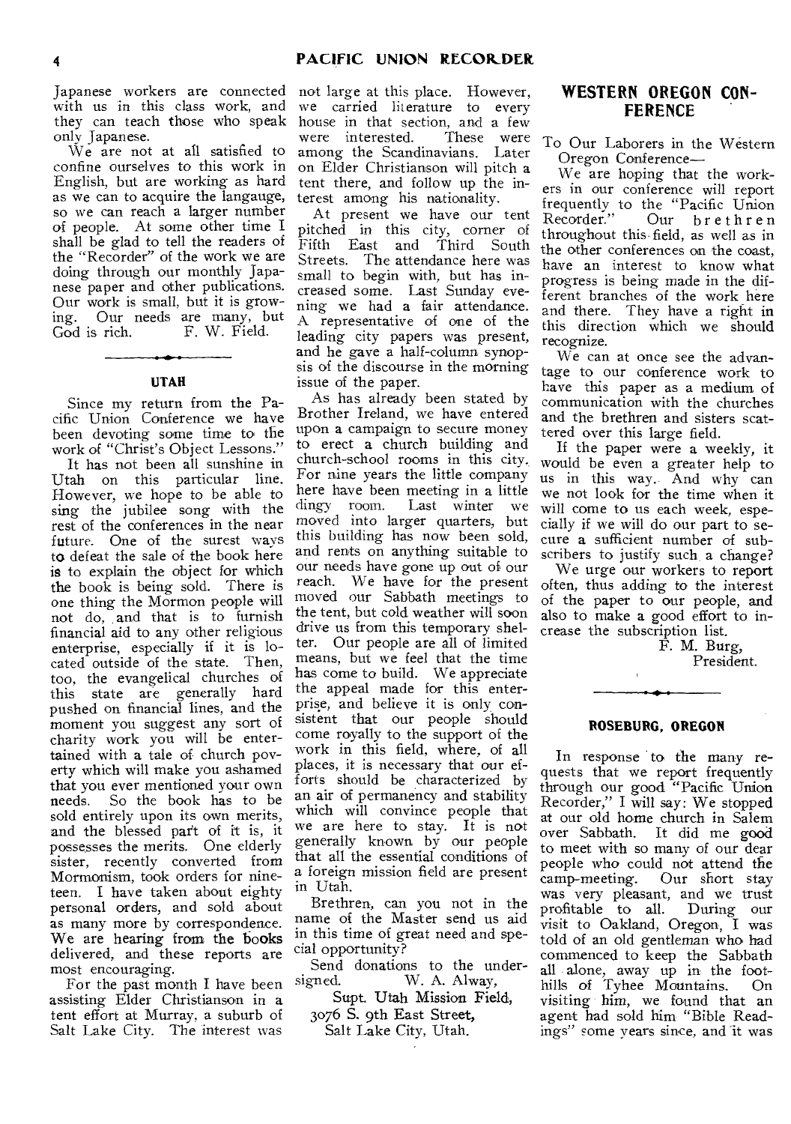Japanese workers are connected with us in this class work, and they can teach those who speak only Japanese.

We are not at all satisfied to confine ourselves to this work in English, but are working as hard as we can to acquire the langauge, so we can reach a larger number of people. At some other time I shall be glad to tell the readers of the "Recorder" of the work we are doing through our monthly Japanese paper and other publications. Our work is small, but it is growing. Our needs are many, but<br>God is rich. F. W. Field. F. W. Field.

# UTAH

Since my return from the Pacific Union Conference we have been devoting some time to the work of "Christ's Object Lessons."

It has not been all sunshine in Utah on this particular line. However, we hope to be able to sing the jubilee song with the rest of the conferences in the near future. One of the surest ways to defeat the sale of the book here is to explain the object for which the book is being sold. There is one thing the Mormon people will not do, and that is to furnish financial aid to any other religious enterprise, especially if it is located outside of the state. Then, too, the evangelical churches of this state are generally hard pushed on financial lines, and the moment you suggest any sort of charity work you will be entertained with a tale of church poverty which will make you ashamed that you ever mentioned your own needs. So the book has to be sold entirely upon its own merits, and the blessed part of it is, it possesses the merits. One elderly sister, recently converted from Mormonism, took orders for nineteen. I have taken about eighty personal orders, and sold about as many more by correspondence. We are hearing from the books delivered, and these reports are most encouraging.

For the past month I have been assisting Elder Christianson in a tent effort at Murray, a suburb of Salt Lake City. The interest was

not large at this place. However, we carried literature to every house in that section, and a few<br>were interested. These were were interested. among the Scandinavians. Later on Elder Christianson will pitch a tent there, and follow up the interest among his nationality.

At present we have our tent pitched in this city, corner of<br>Fifth East and Third South East and Third South Streets. The attendance here was small to begin with, but has increased some. Last Sunday evening we had a fair attendance. A representative of one of the leading city papers was present, and he gave a half-column synopsis of the discourse in the morning issue of the paper.

As has already been stated by Brother Ireland, we have entered upon a campaign to secure money to erect a church building and church-school rooms in this city. For nine years the little company here have been meeting in a little dingy room. Last winter we moved into larger quarters, but this building has now been sold, and rents on anything suitable to our needs have gone up out of our reach. We have for the present moved our Sabbath meetings to the tent, but cold weather will soon drive us from this temporary shelter. Our people are all of limited means, but we feel that the time has come to build. We appreciate the appeal made for this enterprise, and believe it is only consistent that our people should come royally to the support of the work in this field, where, of all places, it is necessary that our efforts should be characterized by an air of permanency and stability which will convince people that we are here to stay. It is not generally known by our people that all the essential conditions of a foreign mission field are present in Utah.

Brethren, can you not in the name of the Master send us aid in this time of great need and special opportunity?

Send donations to the under-<br>signed. W. A. Alway, W. A. Alway, Supt. Utah Mission Field,

3076 S. 9th East Street,

Salt Lake City, Utah.

# **WESTERN OREGON CON-FERENCE**

To Our Laborers in the Western Oregon Conference—

We are hoping that the workers in our conference will report frequently to the "Pacific Union<br>Recorder." Our brethren Our brethren throughout this field, as well as in the other conferences on the coast, have an interest to know what progress is being made in the different branches of the work here and there. They have a right in this direction which we should recognize.

We can at once see the advantage to our conference work to have this paper as a medium of communication with the churches and the brethren and sisters scattered over this large field.

If the paper were a weekly, it would be even a greater help to us in this way. And why can we not look for the time when it will come to us each week, especially if we will do our part to secure a sufficient number of subscribers to justify such a change?

We urge our workers to report often, thus adding to the interest of the paper to our people, and also to make a good effort to increase the subscription list.

F. M. Burg, President.

# **ROSEBURG, OREGON**

In response to the many requests that we report frequently through our good "Pacific Union Recorder," I will say: We stopped at our old home church in Salem over Sabbath. It did me good to meet with so many of our dear people who could not attend the<br>camp-meeting. Our short stay Our short stay was very pleasant, and we trust profitable to all. During our visit to Oakland, Oregon, I was told of an old gentleman who had commenced to keep the Sabbath all alone, away up in the foothills of Tyhee Mountains. On visiting him, we found that an agent had sold him "Bible Readings" some years since, and it was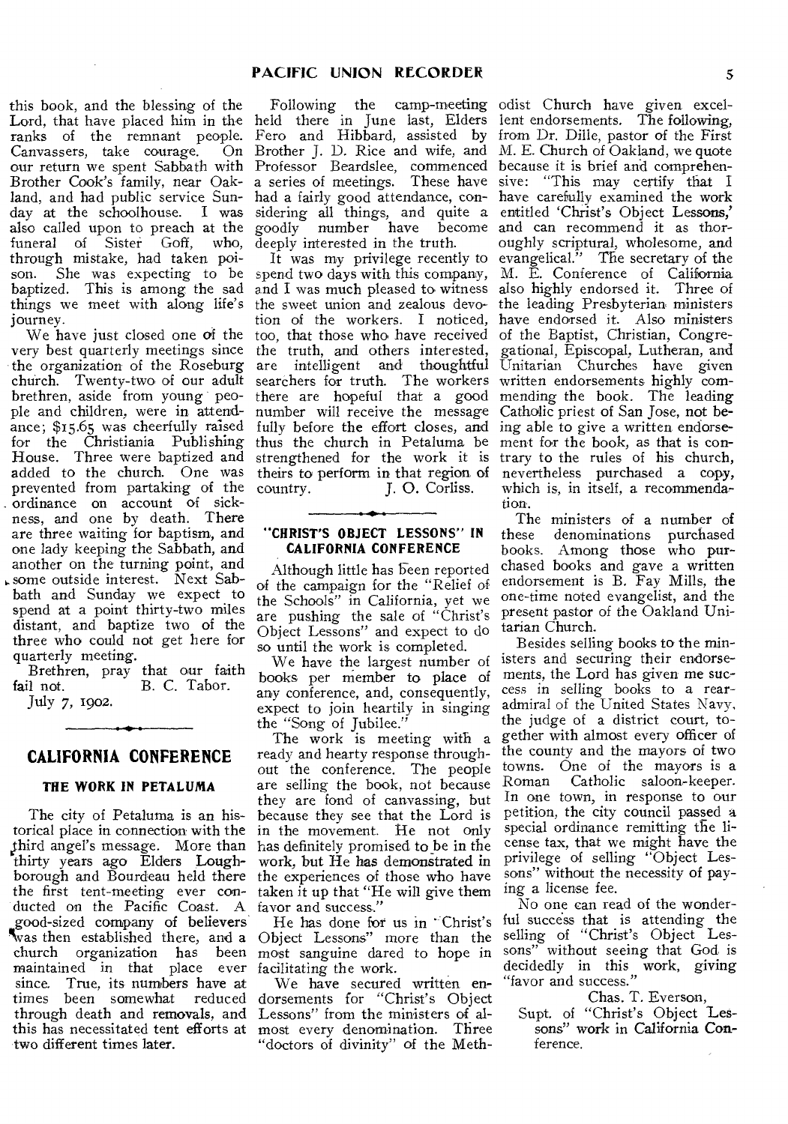this book, and the blessing of the Lord, that have placed him in the ranks of the remnant people. Canvassers, take courage. On our return we spent Sabbath with Brother Cook's family, near Oakland, and had public service Sunday at the schoolhouse. I was sidering all things, and quite a entitled 'Christ's Object **Lessons,'**  also called upon to preach at the goodly number have become and can recommend it as thorfuneral of Sister Goff, who, through mistake, had taken poibaptized. This is among the sad things we meet with along life's journey.

very best quarterly meetings since the organization of the Roseburg church. Twenty-two of our adult brethren, aside from young people and children, were in attendance; \$15.65 was cheerfully raised for the Christiania Publishing House. Three were baptized and added to the church. One was prevented from partaking of the ordinance on account of sickness, and one by death. There are three waiting for baptism, and one lady keeping the Sabbath, and another on the turning point, and some outside interest. Next Sabbath and Sunday we expect to spend at a point thirty-two miles distant, and baptize two of the three who could not get here for quarterly meeting.

Brethren, pray that our faith<br>fail not. B. C. Tabor. B. C. Tabor. July 7, 1902.

# **CALIFORNIA CONFERENCE**

# **THE WORK IN PETALUMA**

The city of Petaluma is an historical place in connection with the third angel's message. More than thirty years ago **Elders Loughborough** and Bourdeau held there the first tent-meeting ever conducted on the Pacific Coast. A favor and success." good-sized company of **believers**  %vas then established there, and a maintained in that place ever facilitating the work. since. True, its **numbers have at**  times been somewhat two **different** times **later.** 

Following the camp-meeting held there in June last, Elders Fero and Hibbard, assisted by Brother J. D. Rice and wife, and Professor Beardslee, commenced a series of meetings. These have deeply interested in the truth.

We have just closed one of the too, that those who have received of the Baptist, Christian, Congreand I was much pleased to witness also highly endorsed it. Three of the truth, and others interested, are intelligent **and** thoughtful searchers for truth. The workers there are hopeful that a good number will receive the message fully before the effort **closes, and**  thus the church in Petaluma be strengthened for the work it is theirs to perform in that region of country. <br> **I. O. Corliss.** country. **J. 0. Corliss.** 

# **"CHRIST'S OBJECT LESSONS" IN CALIFORNIA CONFERENCE**

Although little has been reported of the campaign for the "Relief of the Schools" in California, yet we are pushing the sale of "Christ's Object Lessons" and expect to do so until the work is completed.

We have the largest number of books per **member to place of**  any conference, and, consequently, expect to join heartily in singing the "Song of Jubilee."

The work is meeting with a ready and hearty response throughout the conference. The people are selling the book, not because they are fond of canvassing, but because they see that the Lord is in the movement. He not only has definitely promised to be in the work, **but He has demonstrated in**  the experiences of those who have taken it up that "He will give them

church organization has been most sanguine dared to hope in He has done for us in Christ's Object Lessons" more than the

through death and **removals, and**  Lessons" from the ministers of althis has necessitated tent efforts at most every denomination. Three We have **secured written endorsements** for "Christ's Object "doctors of divinity" of the Meth-

son. She was expecting to be spend two days with this company, M. E. Conference of California had a fairly good attendance, con-have carefully examined the work It was my privilege recently to evangelical." The secretary of the the sweet union and zealous devo-the leading Presbyterian ministers tion of the workers. I noticed, have endorsed it. Also ministers odist Church have given excellent endorsements. The following, from Dr. Dille, pastor of the First M. E. Church of Oakland, we quote because it is brief and comprehensive: "This may certify that I oughly scriptural, wholesome, and gational, Episcopal, Lutheran, and Unitarian Churches have given written endorsements highly commending the book. The leading Catholic priest of San Jose, **not being** able to give a written endorsement for the book, as that is contrary to the rules of his church, nevertheless purchased a copy, which is, in itself, a recommendation.

> The ministers of a number of<br>these denominations purchased denominations purchased books. Among those who **purchased** books and gave a written endorsement is B. Fay Mills, the one-time noted evangelist, and the present pastor of the Oakland Unitarian Church.

> Besides selling books to the ministers and securing their endorsements, the Lord has given me success in selling books to a rearadmiral of the United States Navy. the judge of a district court, together with almost every officer of the county and the mayors of two towns. One of the mayors is a Roman Catholic saloon-keeper. In one town, in response to our petition, the city council passed a special ordinance remitting the license tax, that we might have the privilege of selling "Object Lessons" without the necessity of paying a license fee.

> No one can read of the wonderful success that is attending the selling of "Christ's Object Lessons" without seeing that God is decidedly in this work, giving "favor and success."

Chas. T. Everson,

Supt. of "Christ's Object **Lessons" work in California Conference.**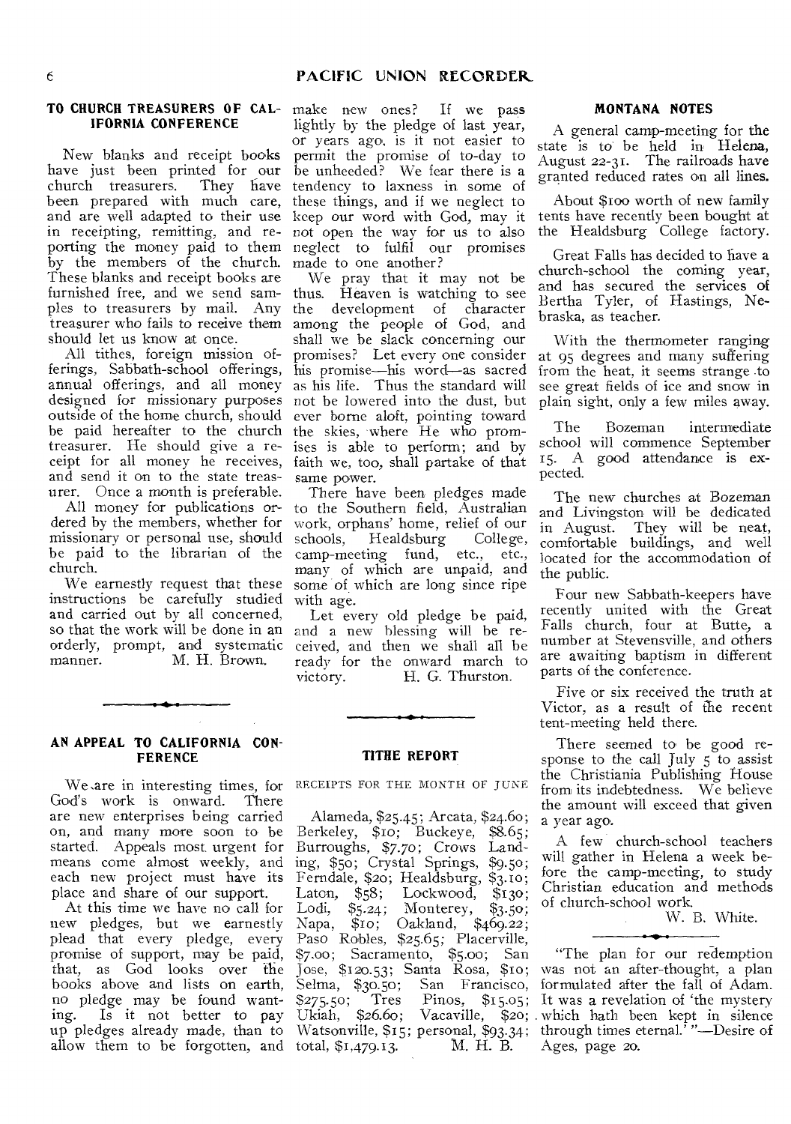# **IFORNIA CONFERENCE**

New blanks and receipt books have just been printed for our<br>church treasurers. They have church treasurers. They have<br>been prepared with much care, and are well adapted to their use in receipting, remitting, and reporting the money paid to them by the members of the church. These blanks and receipt books are furnished free, and we send samples to treasurers by mail. Any treasurer who fails to receive them should let us know at once.

All tithes, foreign mission offerings, Sabbath-school offerings, annual offerings, and all money designed for missionary purposes not be lowered into the dust, but outside of the home church, should be paid hereafter to the church treasurer. He should give a receipt for all money he receives, and send it on to the state treasurer. Once a month is preferable.

All money for publications ordered by the members, whether for missionary or personal use, should be paid to the librarian of the church.

We earnestly request that these instructions be carefully studied and carried out by all concerned, so that the work will be done in an orderly, prompt, and systematic manner. M. H. Brown.

# **TO CHURCH TREASURERS OF CAL-**make new ones? If we pass lightly by the pledge of last year, or years ago, is it not easier to permit the promise of to-day to be unheeded? We fear there is a tendency to laxness in some of these things, and if we neglect to keep our word with God, may it not open the way for us to also neglect to fulfil our promises made to one another?

We pray that it may not be thus. Heaven is watching to see the development of character among the people of God, and shall we be slack concerning our promises? Let every one consider his promise—his word—as sacred as his life. Thus the standard will ever borne aloft, pointing toward the skies, where He who promises is able to perform; and by faith we, too, shall partake of that same power.

There have been pledges made to the Southern field, Australian work, orphans' home, relief of our schools, Healdsburg camp-meeting fund, etc., etc., many of which are unpaid, and some of which are long since ripe with age.

Let every old pledge be paid, and a new blessing will be received, and then we shall all be ready for the onward march to<br>victory. H. G. Thurston. H. G. Thurston.

#### **AN APPEAL TO CALIFORNIA CON-FERENCE**

We .are in interesting times, for God's work is onward. There are new enterprises being carried on, and many more soon to be started. Appeals most urgent for means come almost weekly, and each new project must have its place and share of our support.

At this time we have no call for new pledges, but we earnestly plead that every pledge, every promise of support, may be paid, that, as God looks over the books above and lists on earth, no pledge may be found wanting. Is it not better to pay up pledges already made, than to allow them to be forgotten, and total,  $$1,479.13$ . M. H. B.

# **TITHE REPORT**

RECEIPTS FOR THE MONTH OF JUNE

Alameda, \$25.45; Arcata, \$24.60; Berkeley, \$10; Buckeye, \$8.65; Burroughs, \$7.70; Crows Landing, \$50; Crystal Springs, \$9.50; Ferndale, \$20; Healdsburg, \$3.10; Laton,  $$58;$  Lockwood,  $$130;$ Laton, \$58; Lockwood, \$130;<br>Lodi, \$5.24; Monterey, \$3.50; Napa, \$1o; Oakland, \$469.22; Paso Robles, \$25.65; Placerville, \$7.00; Sacramento, \$5.00; San Jose, \$120.53; Santa Rosa, \$10; Selma, \$30.50; San Francisco, formulated after the fall of Adam. \$275.50; Tres Pinos, \$15.05; It was a revelation of 'the mystery Ukiah, \$26.6o; Vacaville, \$20; . which hath been kept in silence Watsonville, \$15; personal, \$93.34; through times eternal.<sup>7</sup> "—Desire of

#### **MONTANA NOTES**

A general camp-meeting for the state is to be held in Helena, August 22-31. The railroads have granted reduced rates on all lines.

About \$ioo worth of new family tents have recently been bought at the Healdsburg College factory.

Great Falls has decided to have a church-school the coming year, and has secured the services of Bertha Tyler, of Hastings, Nebraska, as teacher.

With the thermometer ranging at 95 degrees and many suffering from the heat, it seems strange .to see great fields of ice and snow in plain sight, only a few miles away.

The Bozeman intermediate school will commence September 15. A good attendance is expected.

The new churches at Bozeman and Livingston will be dedicated in August. They will be neat, comfortable buildings, and well located for the accommodation of the public.

Four new Sabbath-keepers have recently united with the Great Falls church, four at Butte, a number at Stevensville, and others are awaiting baptism in different parts of the conference.

Five or six received the truth at Victor, as a result of the recent tent-meeting held there.

There seemed to be good response to the call July 5 to assist the Christiania Publishing House from its indebtedness. We believe the amount will exceed that given a year ago.

A few church-school teachers will gather in Helena a week before the camp-meeting, to study Christian education and methods of church-school work.

W. B. White.

"The plan for our redemption was not an after-thought, a plan Ages, page 20.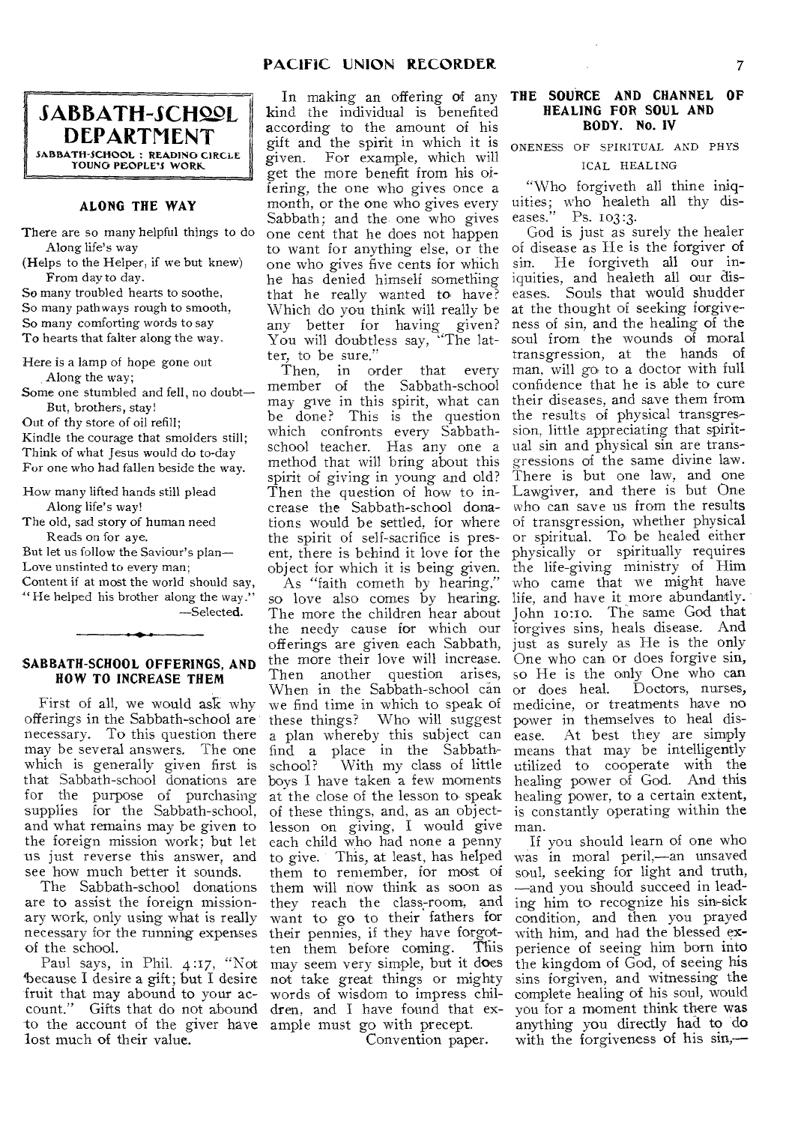**.SABBATH-SCHS.19L DEPARTMENT**  SABBATH-SCHOOL : READING CIRCLE YOUNG PEOPLE'S WORK

#### **ALONG THE WAY**

There are so many helpful things to do Along life's way

(Helps to the Helper, if we but knew) From day to day.

So many troubled hearts to soothe, So many pathways rough to smooth, So many comforting words to say To hearts that falter along the way.

Here is a lamp of hope gone out Along the way;

Some one stumbled and fell, no doubt— But, brothers, stay!

Out of thy store of oil refill;

Kindle the courage that smolders still; Think of what Jesus would do to-day For one who had fallen beside the way.

How many lifted hands still plead Along life's way!

The old, sad story of human need Reads on for aye.

But let us follow the Saviour's plan—

Love unstinted to every man;

Content if at most the world should say, " He helped his brother along the way." —Selected.

**SABBATH-SCHOOL OFFERINGS, AND HOW TO INCREASE THEM** 

First of all, we would ask why offerings in the Sabbath-school are necessary. To this question there may be several answers. The one which is generally given first is that Sabbath-school donations are for the purpose of purchasing supplies for the Sabbath-school, and what remains may be given to the foreign mission work; but let us just reverse this answer, and see how much better it sounds.

The Sabbath-school donations are to assist the foreign missionary work, only using what is really necessary for the running expenses of the school.

"because I desire a gift; but I desire fruit that may abound to your account." Gifts that do not abound dren, and I have found that exto the account of the giver have ample must go with precept. lost much of their value.

In making an offering of any kind the individual is benefited according to the amount of his gift and the spirit in which it is given. For example, which will get the more benefit from his offering, the one who gives once a month, or the one who gives every Sabbath; and the one who gives one cent that he does not happen to want for anything else, or the one who gives five cents for which he has denied himself something that he really wanted to have? Which do you think will really be any better for having given? You will doubtless say, "The lat-

ter, to be sure." order that every member of the Sabbath-school may give in this spirit, what can be done? This is the question which confronts every Sabbathschool teacher. Has any one a method that will bring about this spirit of giving in young and old? Then the question of how to increase the Sabbath-school donations would be settled, for where the spirit of self-sacrifice is present, there is behind it love for the object for which it is being given.

Paul says, in Phil. 4:17, "Not may seem very simple, but it does As "faith cometh by hearing," so love also comes by hearing. The more the children hear about the needy cause for which our offerings are given each Sabbath, the more their love will increase. Then another question arises, When in the Sabbath-school can we find time in which to speak of these things? Who will suggest a plan whereby this subject can find a place in the Sabbath-With my class of little boys I have taken a few moments at the close of the lesson to speak of these things, and, as an objectlesson on giving, I would give each child who had none a penny to give. This, at least, has helped them to remember, for most of them will now think as soon as they reach the class-room, and want to go to their fathers for their pennies, if they have forgot-<br>ten them before coming. This ten them before coming. not take great things or mighty words of wisdom to impress chil-

Convention paper.

### **THE SOURCE AND CHANNEL OF HEALING FOR SOUL AND BODY. No. IV**

ONENESS OF SPIRITUAL AND PHYS ICAL HEALING

"Who forgiveth all thine iniquities; who healeth all thy diseases." Ps. 103:3.

God is just as surely the healer of disease as He is the forgiver of sin. He forgiveth all our iniquities, and healeth all our diseases. Souls that would shudder at the thought of seeking forgiveness of sin, and the healing of the soul from the wounds of moral transgression, at the hands of man, will go to a doctor with full confidence that he is able to cure their diseases, and save them from the results of physical transgression, little appreciating that spiritual sin and physical sin are transgressions of the same divine law. There is but one law, and one Lawgiver, and there is but One who can save us from the results of transgression, whether physical or spiritual. To be healed either physically or spiritually requires the life-giving ministry of Him who came that we might have life, and have it more abundantly. John 10:10. The same God that forgives sins, heals disease. And just as surely as He is the only One who can or does forgive sin, so He is the only One who can or does heal. Doctors, nurses, medicine, or treatments have no power in themselves to heal disease. At best they are simply means that may be intelligently utilized to cooperate with the healing power of God. And this healing power, to a certain extent, is constantly operating within the man.

If you should learn of one who was in moral peril,—an unsaved soul, seeking for light and truth, —and you should succeed in leading him to recognize his sin-sick condition, and then you prayed with him, and had the blessed experience of seeing him born into the kingdom of God, of seeing his sins forgiven, and witnessing the complete healing of his soul, would you for a moment think there was anything you directly had to do with the forgiveness of his sin,—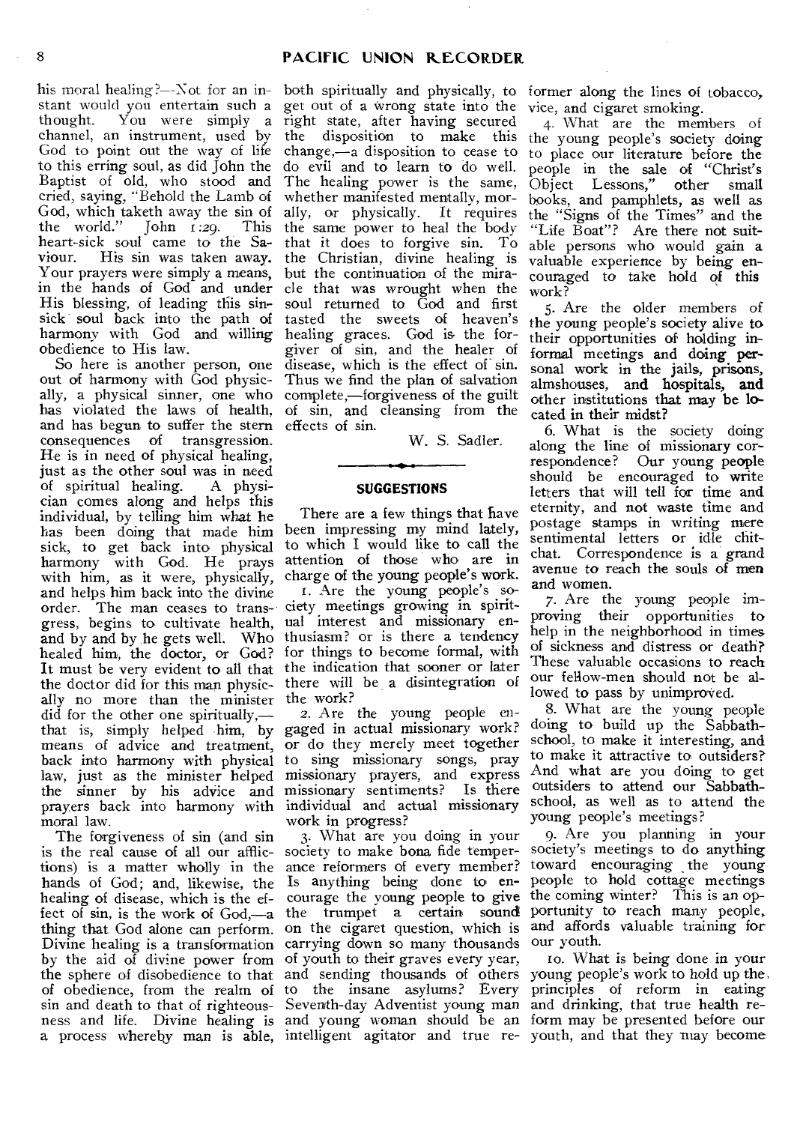his moral healing?—Not for an instant would you entertain such a thought. You were simply a channel, an instrument, used by God to point out the way of life to this erring soul, as did John the Baptist of old, who stood and cried, saying, "Behold the Lamb of God, which taketh away the sin of<br>the world."  $\lceil \text{ohn } r : 29$ . This the world." John  $1:29$ . heart-sick soul came to the Saviour. His sin was taken away. Your prayers were simply a means, in the hands of God and under His blessing, of leading this sinsick soul back into the path of harmony with God and willing obedience to His law.

So here is another person, one out of harmony with God physically, a physical sinner, one who has violated the laws of health, and has begun to suffer the stern consequences of transgression. He is in need of physical healing, just as the other soul was in need<br>of spiritual healing. A physiof spiritual healing. cian comes along and helps this individual, by telling him what he has been doing that made him sick, to get back into physical harmony with God. He prays with him, as it were, physically, and helps him back into the divine order. The man ceases to trans-ciety meetings growing in spiritgress, begins to cultivate health, ual interest and missionary enand by and by he gets well. Who healed him, the doctor, or God? It must be very evident to all that the indication that sooner or later the doctor did for this man physic- there will be a disintegration of ally no more than the minister the work? did for the other one spiritually, that is, simply helped him, by gaged in actual missionary work? means of advice and treatment, back into harmony with physical to sing missionary songs, pray law, just as the minister helped the sinner by his adVice and prayers back into harmony with individual and actual missionary moral law.

The forgiveness of sin (and sin is the real cause of all our afflictions) is a matter wholly in the hands of God; and, likewise, the healing of disease, which is the effect of sin, is the work of God,—a thing that God alone can perform. Divine healing is a transformation by the aid of divine power from the sphere of disobedience to that and sending thousands of others of obedience, from the realm of to the insane asylums? Every a process whereby man is able, intelligent agitator and true re-youth, and that they may become

both spiritually and physically, to former along the lines of tobacco, get out of a wrong state into the right state, after having secured the disposition to make this change,—a disposition to cease to do evil and to learn to do well. The healing power is the same, whether manifested mentally, morally, or physically. It requires the same power to heal the body that it does to forgive sin. To the Christian, divine healing is but the continuation of the miracle that was wrought when the soul returned to God and first tasted the sweets of heaven's healing graces. God is the forgiver of sin, and the healer of disease, which is the effect of sin. Thus we find the plan of salvation complete,—forgiveness of the guilt of sin, and cleansing from the effects of sin.

W. S. Sadler.

#### SUGGESTIONS

There are a few things that have been impressing my mind lately, to which I would like to call the attention of those who are in charge of the young people's work.

1. Are the young people's sothusiasm? or is there a tendency for things to become formal, with

2. Are the young people enor do they merely meet together missionary prayers, and express missionary sentiments? Is there work in progress?

sin and death to that of righteous-Seventh-day Adventist young man and drinking, that true health reness and life. Divine healing is and young woman should be an form may be presented before our 3. What are you doing in your society to make bona fide temperance reformers of every member? Is anything being done to encourage the young people to give the trumpet a certain sound on the cigaret question, which is carrying down so many thousands of youth to their graves every year,

vice, and cigaret smoking.

4. What are the members of the young people's society doing to place our literature before the people in the sale of "Christ's Object Lessons," other small books, and pamphlets, as well as the "Signs of the Times" and the "Life Boat"? Are there not suitable persons who would gain a valuable experience by being encouraged to take hold of this work?

5. Are the older members of the young people's society alive to their opportunities of holding informal meetings and doing personal work in the jails, prisons, almshouses, and hospitals, and other institutions that may be located in their midst?

6. What is the society doing along the line of missionary correspondence? Our young people should be encouraged to write letters that will tell for time and eternity, and not waste time and postage stamps in writing mere sentimental letters or idle chitchat. Correspondence is a grand avenue to reach the souls of men and women.

7. Are the young people improving their opportunities to help in the neighborhood in times of sickness and distress or death? These valuable occasions to reach our fellow-men should not be allowed to pass by unimproved.

8. What are the young people doing to build up the Sabbathschool, to make it interesting, and to make it attractive to outsiders? And what are you doing to get outsiders to attend our Sabbathschool, as well as to attend the young people's meetings?

9. Are you planning in your society's meetings to do anything toward encouraging the young people to hold cottage meetings the coming winter? This is an opportunity to reach many people, and affords valuable training for our youth.

to. What is being done in your young people's work to hold up the. principles of reform in eating

J.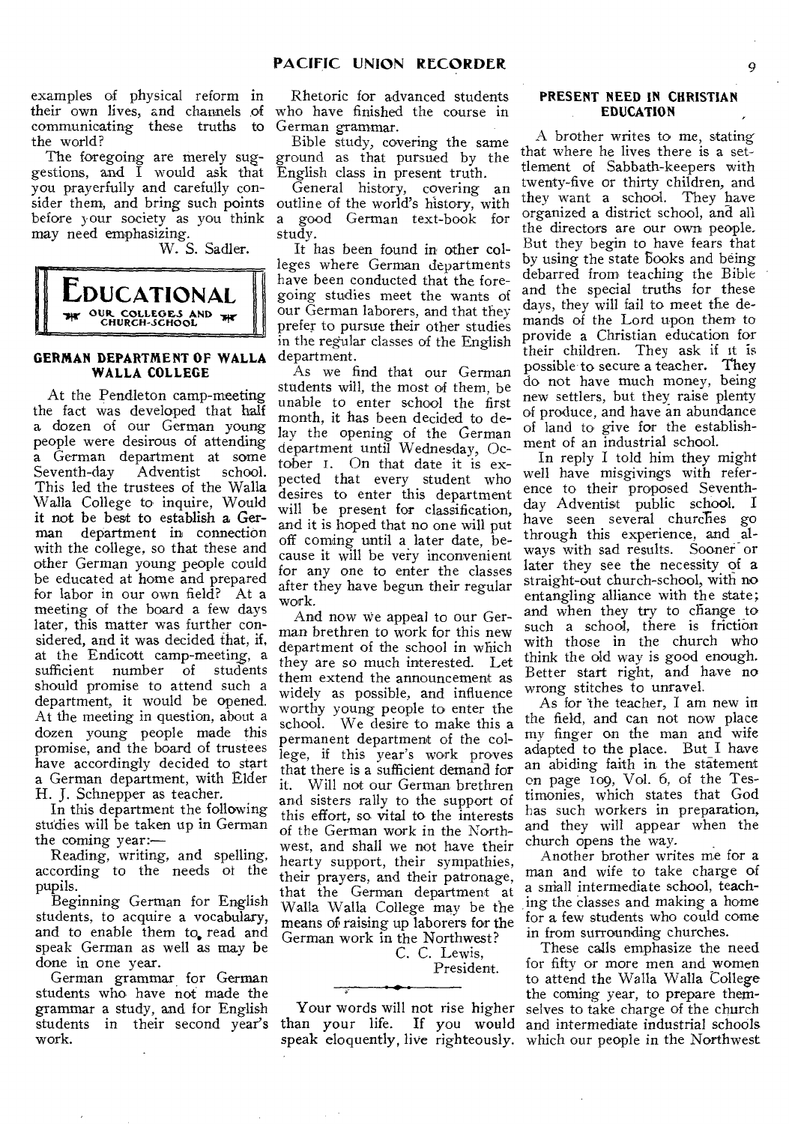examples of physical reform in their own lives, and channels of communicating these truths to the world?

The foregoing are merely suggestions, and I would ask that you prayerfully and carefully consider them, and bring such points before your society as you think may need emphasizing.

W. S. Sadler.



# **GERMAN DEPARTMENT OF WALLA WALLA COLLEGE**

At the Pendleton camp-meeting the fact was developed that half a dozen of our German young people were desirous of attending a German department at some<br>Seventh-day Adventist school. Seventh-day This led the trustees of the Walla Walla College to inquire, Would it not be best to establish a German department in connection with the college, so that these and other German young people could be educated at home and prepared for labor in our own field? At a meeting of the board a few days later, this matter was further considered, and it was decided that, if, at the Endicott camp-meeting, a sufficient number of students should promise to attend such a department, it would be opened. At the meeting in question, about a dozen young people made this promise, and the board of trustees have accordingly decided to start a German department, with Elder H. J. Schnepper as teacher.

In this department the following studies will be taken up in German the coming year:—

Reading, writing, and spelling, according to the needs of the pupils.

Beginning German for English students, to acquire a vocabulary, and to enable them to read and speak German as well as may be done in one year.

German grammar for German students who have not made the grammar a study, and for English students in their second year's work.

Rhetoric for advanced students who have finished the course in German grammar.

Bible study, covering the same ground as that pursued by the English class in present truth.

General history, covering an outline of the world's history, with a good German text-book for study.

It has been found in other colleges where German departments have been conducted that the foregoing studies meet the wants of our German laborers, and that they prefer to pursue their other studies in the regular classes of the English department.

As we find that our German students will, the most of them, be unable to enter school the first month, it has been decided to delay the opening of the German department until Wednesday, October i. On that date it is expected that every student who desires to enter this department will be present for classification, and it is hoped that no one will put off coming until a later date, because it will be very inconvenient for any one to enter the classes after they have begun their regular work.

And now we appeal to our German brethren to work for this new department of the school in which they are so much interested. Let them extend the announcement as widely as possible, and influence worthy young people to enter the school. We desire to make this a permanent department of the college, if this year's work proves that there is a sufficient demand for<br>it. Will not our German brethren Will not our German brethren and sisters rally to the support of this effort, so vital to the interests of the German work in the Northwest, and shall we not have their hearty support, their sympathies, their prayers, and their patronage, that the German department at Walla Walla College may be the means of raising up laborers for the German work in the Northwest?

> C. C. Lewis, President.

Your words will not rise higher than your life. If you would

### **PRESENT NEED IN CHRISTIAN EDUCATION**

A brother writes to me, stating that where he lives there is a settlement of Sabbath-keepers with twenty-five or thirty children, and they want a school. They have organized a district school, and all the directors are our own people. But they begin to have fears that by using the state Books and being debarred from teaching the Bible and the special truths for these days, they will fail to meet the demands of the Lord upon them to provide a Christian education for their children. They ask if it is possible to secure a teacher. They do not have much money, being new settlers, but they raise plenty of produce, and have an abundance of land to give for the establishment of an industrial school.

In reply I told him they might well have misgivings with reference to their proposed Seventhday Adventist public school. I have seen several churches go through this experience, and always with sad results. Sooner or later they see the necessity of a straight-out church-school, with no entangling alliance with the state; and when they try to change to such a school, there is friction with those in the church who think the old way is good enough. Better start right, and have no wrong stitches to unravel.

As for the teacher, I am new in the field, and can not now place my finger on the man and wife adapted to the place. But I have an abiding faith in the statement on page 109, Vol. 6, of the Testimonies, which states that God has such workers in preparation, and they will appear when the church opens the way.

Another brother writes me for a man and wife to take charge of a sniall intermediate school, teaching the classes and making a home for a few students who could come in from surrounding churches.

speak eloquently, live righteously. which our people in the Northwest These calls emphasize the need for fifty or more men and women to attend the Walla Walla College the coming year, to prepare themselves to take charge of the church and intermediate industrial schools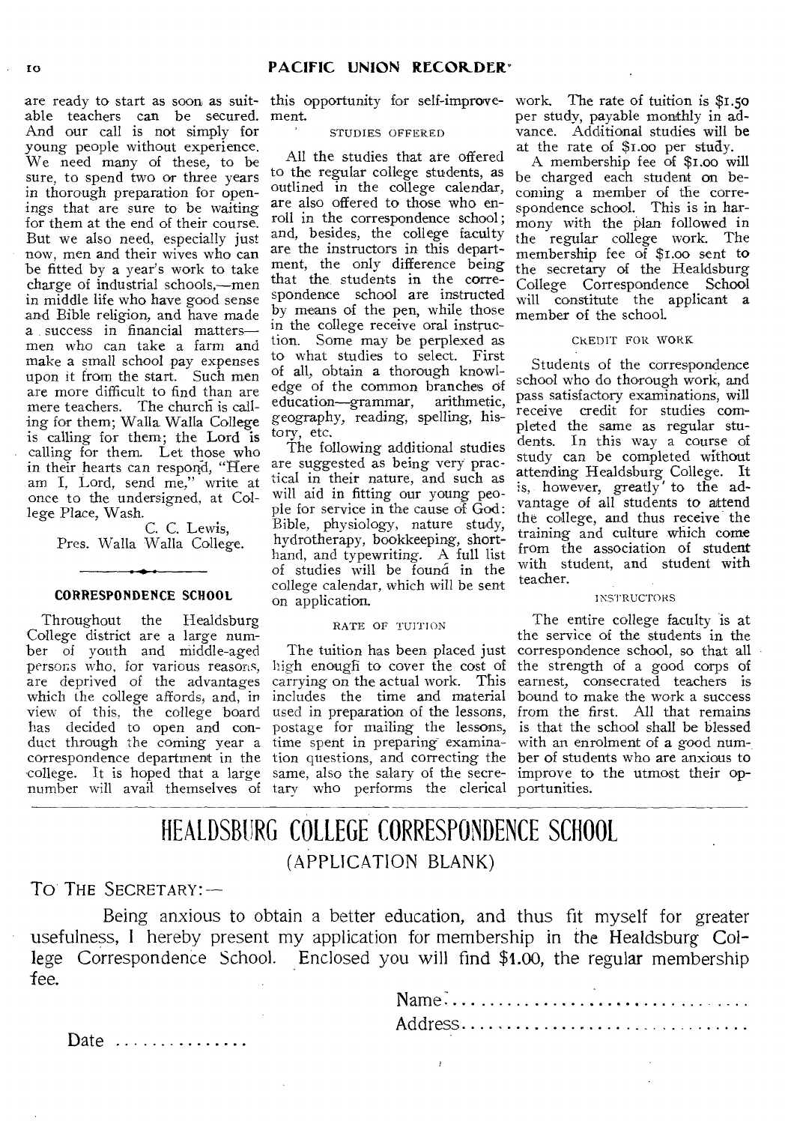able teachers can be secured. ment. And our call is not simply for young people without experience. We need many of these, to be sure, to spend two or three years in thorough preparation for openings that are sure to be waiting for them at the end of their course. But we also need, especially just now, men and their wives who can be fitted by a year's work to take charge of industrial schools,—men in middle life who have good sense and Bible religion, and have made a success in financial matters men who can take a farm and make a small school pay expenses upon it from the start. Such men are more difficult to find than are mere teachers. The church is calling for them; Walla Walla College is calling for them; the Lord is calling for them. Let those who in their hearts can respond, "Here am I, Lord, send me," write at once to the undersigned, at College Place, Wash.

C. C. Lewis, Pres. Walla Walla College.

#### **CORRESPONDENCE SCHOOL**

Throughout the Healdsburg College district are a large number of youth and middle-aged persons who, for various reasons, are deprived of the advantages which the college affords, and, in view of this, the college board has decided to open and conduct through the coming year a correspondence department in the college. It is hoped that a large same, also the salary of the secrenumber will avail themselves of tary who performs the clerical portunities.

are ready to start as soon as suit-this opportunity for self-improve-work. The rate of tuition is \$1.5o

# STUDIES OFFERED

All the studies that are offered to the regular college students, as outlined in the college calendar, are also offered to those who enroll in the correspondence school; and, besides, the college faculty are the instructors in this department, the only difference being that the, students in the correspondence school are instructed by means of the pen, while those in the college receive oral instruction. Some may be perplexed as to what studies to select. First of all, obtain a thorough knowledge of the common branches of education—grammar, arithmetic, geography, reading, spelling, history, etc.

The following additional studies are suggested as being very practical in their nature, and such as will aid in fitting our young people for service in the cause of God: Bible, physiology, nature study, hydrotherapy, bookkeeping, shorthand, and typewriting. A full list of studies will be found in the college calendar, which will be sent on application.

# RATE OF TUITION

carrying on the actual work. This includes the time and material used in preparation of the lessons, postage for mailing the lessons, time spent in preparing examination questions, and correcting the

per study, payable monthly in advance. Additional studies will be at the rate of \$i.00 per study.

A membership fee of \$i.00 will be charged each student on becoming a member of the correspondence school. This is in harmony with the plan followed in the regular college work. The membership fee of \$1.00 sent to the secretary of the Healdsburg College Correspondence School will constitute the applicant a member of the school.

#### CREDIT FOR WORK

Students of the correspondence school who do thorough work, and pass satisfactory examinations, will receive credit for studies completed the same as regular students. In this way a course of study can be completed without attending Healdsburg College. It is, however, greatly' to the advantage of all students to attend the college, and thus receive the training and culture which come from the association of student with student, and student with teacher.

### INSTRUCTORS

The tuition has been placed just correspondence school, so that all high enough to cover the cost of the strength of a good corps of The entire college faculty is at the service of the students in the earnest, consecrated teachers is bound to make the work a success from the first. All that remains is that the school shall be blessed with an enrolment of a good num-, ber of students who are anxious to improve to the utmost their op-

# HEALDSBURG COLLEGE CORRESPONDENCE SCHOOL (APPLICATION BLANK)

# TO THE SECRETARY:-

Being anxious to obtain a better education, and thus fit myself for greater usefulness, I hereby present my application for membership in the Healdsburg College Correspondence School. Enclosed you will find \$1.00, the regular membership fee.

 $\bar{\bar{J}}$ 

| Name |  |  |  |  |  |  |  |  |  |  |  |  |  |  |  |
|------|--|--|--|--|--|--|--|--|--|--|--|--|--|--|--|
|      |  |  |  |  |  |  |  |  |  |  |  |  |  |  |  |

Date ..............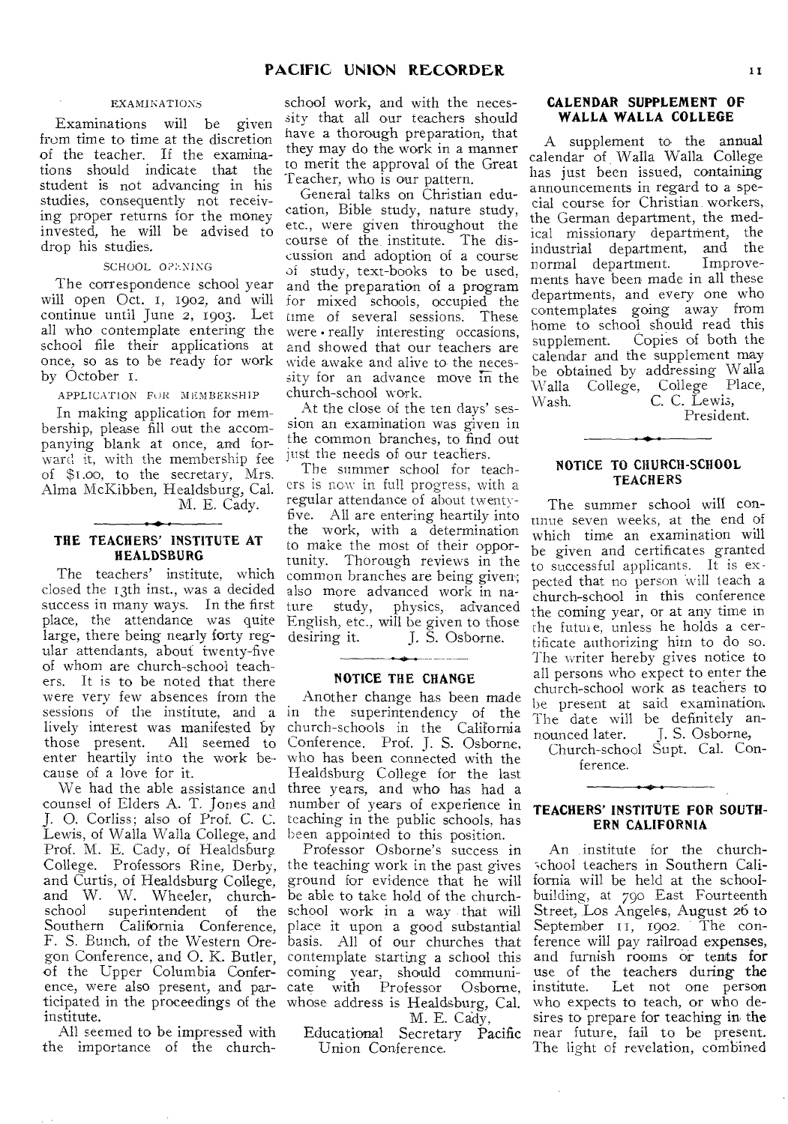#### EXAMINATIONS

Examinations will be given from time to time at the discretion of the teacher. If the examinations should indicate that the student is not advancing in his studies, consequently not receiving proper returns for the money invested, he will be advised to drop his studies.

#### SCHOOL OPENING

The correspondence school year will open Oct. I, 1902, and will continue until June 2, 1903. Let all who contemplate entering the school file their applications at once, so as to be ready for work by October 1.

APPLICATION FUR MEMBERSHIP

In making application for membership, please fill out the accompanying blank at once, and forward it, with the membership fee just the needs of our teachers. of \$i.00, to the secretary, Mrs. Alma McKibben, Healdsburg, Cal. M. E. Cady.

# THE TEACHERS' INSTITUTE AT **HEALDSBURG**

The teachers' institute, which closed the 13th inst., was a decided success in many ways. In the first place, the attendance was quite large, there being nearly forty **reg**ular attendants, about twenty-five of whom are church-school teachers. It is to be noted that there were very few absences from the sessions of the institute, and \_a lively interest was manifested by those present. All seemed to enter heartily into the work because of a love for it.

counsel of Elders A. T. Jones and number of years of **experience in**  J. 0. Corliss; also of Prof. C. C. teaching in the public schools, has Lewis, of Walla Walla College, and been appointed to this position. Prof. M. E. Cady, of Healdsburg College. Professors Rine, Derby, the teaching work in the past gives **and Curtis, of Healdsburg College,**  ground for evidence that he will **and W. W. Wheeler, church-**be able to take hold of the church**school superintendent of the**  school work in a way that will **Southern California Conference,**  place it upon a good substantial **F.** S. Bunch, of the Western Ore-basis. All of our churches that gon Conference, and 0. K. Butler, contemplate starting a school this of the Upper Columbia Conference, were also present, and **participated in the proceedings of the**  whose address is Healdsburg, Cal. **institute.** 

All seemed to be impressed **with the** importance of the church-

**PACIFIC UNION RECORDER** 11<br>school work, and with the neces-<br>n sity that all our teachers should **WALLA WALLA COLLEGE**<br>have a thorough preparation, that school work, and with the necessity that all our teachers should have a thorough preparation, that **they may do the** work in a manner to merit the approval of the Great Teacher, who is our pattern.

General talks on Christian education, Bible study, nature study, etc., were given throughout the course of the. institute. The discussion and adoption of a course of study, text-books to be used, and the preparation of a program for mixed schools, occupied the time of several sessions. These were • really interesting occasions, and showed that our teachers are wide awake and alive to the necessity for an advance move in the church-school work.

At the close of the ten days' session an examination was given in the common branches, to find out

The summer school **for** teachers is now in full **progress, with a**  regular attendance of **about twenty**five. All are entering heartily into the work, with a determination to make the most of their opportunity. Thorough reviews in the common branches are being given; also more advanced work in nature study, physics, advanced English, etc., will be given to those desiring it. J. S. **Osborne.** 

### NOTICE THE CHANGE

We had the able assistance and three years, and who has had a Another change has been made in the superintendency of the church-schools in the California Conference. Prof. J. S. Osborne, who has been connected with the Healdsburg College for the last

> Professor Osborne's success in coming year, should communicate with Professor Osborne, M. E. Cady,

**Educational Secretary Pacific Union Conference.** 

# CALENDAR SUPPLEMENT OF WALLA WALLA COLLEGE

A supplement to the annual calendar of Walla Walla College has just been issued, containing announcements in regard to a special course for Christian workers, the German department, the medical missionary department, the industrial department, and the normal department. Improvements have been made in all these departments, and every one who contemplates going away from home to school should read this supplement. Copies of both the calendar and the supplement may be obtained by addressing Walla Walla College, College Place, Wash. C. C. Lewis,

President.

### NOTICE TO CHURCH-SCHOOL **TEACHERS**

The summer school will continue seven weeks, at the end of which time an examination will be given and certificates granted to successful applicants. It is expected that no person will teach a church-school in this conference the coming year, or at any time in the futui e, unless he holds a certificate authorizing him to do so. The writer hereby gives notice to all persons who expect to enter the church-school work as teachers to be present at said examination. The date will be definitely announced later. J. S. Osborne,

Church-school Supt. Cal. Conference.

# TEACHERS' INSTITUTE FOR SOUTH-ERN CALIFORNIA

An institute for the church- -chool teachers in Southern California will be held at the schoolbuilding, at 790 East Fourteenth Street, Los **Angeles, August 26** to September 11, 1902. The conference will pay railroad expenses, and furnish rooms or tents for use of the teachers during the institute. Let not one person who expects to teach, or who desires to prepare for teaching in the near future, fail to be present. The light of revelation, combined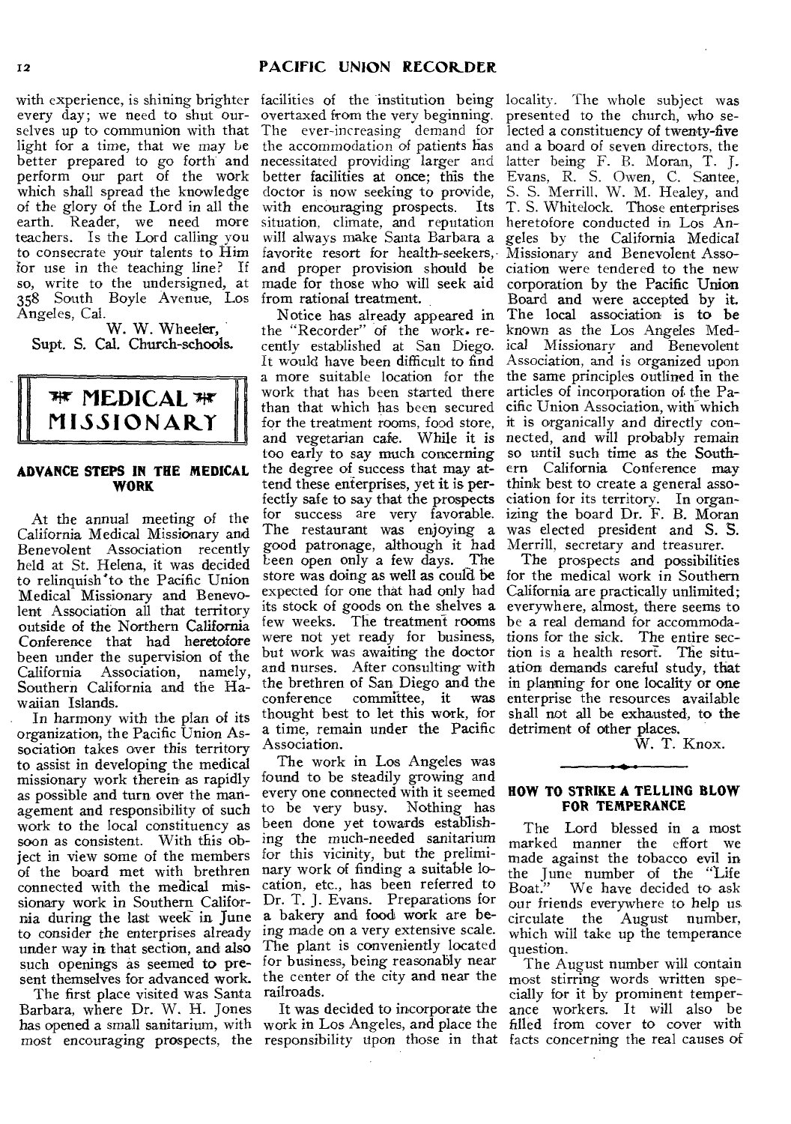every day; we need to shut ourselves up to communion with that light for a time, that we may be better prepared to go forth and perform our part of the work which shall spread the knowledge of the glory of the Lord in all the earth. Reader, we need more teachers. Is the Lord calling you to consecrate your talents to Him for use in the teaching line? If so, write to the undersigned, at 358 South Boyle Avenue, Los Angeles, Cal.

W. W. Wheeler, Supt. S. Cal. Church-schools.



# **ADVANCE STEPS IN THE MEDICAL WORK**

At the annual meeting of the California Medical Missionary and Benevolent Association recently held at St. Helena, it was decided to relinquish to the Pacific Union Medical Missionary and Benevolent Association all that territory outside of the Northern California Conference that had heretofore been under the supervision of the California Association, namely, Southern California and the Hawaiian Islands.

In harmony with the plan of its organization, the Pacific Union Association takes over this territory to assist in developing the medical missionary work therein as rapidly as possible and turn over the management and responsibility of such work to the local constituency as soon as consistent. With this object in view some of the members of the board met with brethren connected with the medical missionary work in Southern California during the last week in June to consider the enterprises already

The first place visited was Santa railroads. Barbara, where Dr. W. H. Jones

with experience, is shining brighter facilities of the institution being locality. The whole subject was overtaxed from the very beginning. The ever-increasing demand for the accommodation of patients has necessitated providing larger and better facilities at once; this the doctor is now seeking to provide, with encouraging prospects. Its situation, climate, and reputation will always make Santa Barbara a favorite resort for health-seekers, Missionary and Benevolent Assoand proper provision should be ciation were tendered to the new made for those who will seek aid from rational treatment.

> Notice has already appeared in the "Recorder" of the work. recently established at San Diego. It would have been difficult to find a more suitable location for the work that has been started there than that which has been secured for the treatment rooms, food store, and vegetarian cafe. While it is too early to *say* much concerning the degree of success that may attend these enterprises, yet it is perfectly safe to say that the prospects for success are very favorable. The restaurant was enjoying a good patronage, although it had Leen open only a few days. The store was doing as well as could be expected for one that had only had its stock of goods on the shelves a few weeks. The treatment rooms were not yet ready for business, but work was awaiting the doctor and nurses. After consulting with the brethren of San Diego and the<br>conference committee, it was conference committee, it thought best to let this work, for a time, remain under the Pacific Association.

under way in that section, and also The plant is conveniently located such openings as seemed to pre- for business, being reasonably near sent themselves for advanced work. the center of the city and near the The work in Los Angeles was found to be steadily growing and every one connected with it seemed to be very busy. Nothing has been done yet towards establishing the much-needed sanitarium for this vicinity, but the preliminary work of finding a suitable location, etc., has been referred to Dr. T. J. Evans. Preparations for a bakery and food work are being made on a very extensive scale.

has opened a small sanitarium, with work in Los Angeles, and place the most encouraging prospects, the responsibility upon those in that facts concerning the real causes of It was decided to incorporate the

presented to the church, who selected a constituency of twenty-five and a board of seven directors, the latter being F. B. Moran, T. J. Evans, R. S. Owen, C. Santee, S. S. Merrill, W. M. Healey, and T. S. Whitelock. Those enterprises heretofore conducted in Los Angeles by the California Medical corporation by the Pacific Union Board and were accepted by it. The local association is to be known as the Los Angeles Medical Missionary and Benevolent Association, and is organized upon the same principles outlined in the articles of incorporation of the Pacific Union Association, with which it is organically and directly connected, and will probably remain so until such time as the Southern California Conference may think best to create a general association for its territory. In organizing the board Dr. F. B. Moran was elected president and S. S. Merrill, secretary and treasurer.

The prospects and possibilities for the medical work in Southern California are practically unlimited; everywhere, almost, there seems to be a real demand for accommodations for the sick. The entire section is a health resort. The situation demands careful study, that in planning for one locality or one enterprise the resources available shall not all be exhausted, to the detriment of other places.

W. T. Knox.

#### **HOW TO STRIKE A TELLING SLOW FOR TEMPERANCE**

The Lord blessed in a most marked manner the effort we made against the tobacco evil in the June number of the "Life We have decided to ask. our friends everywhere to help *us*  circulate the August number, which will take up the temperance question.

The August number will contain most stirring words written specially for it by prominent temperance workers. It will also be filled from cover to cover with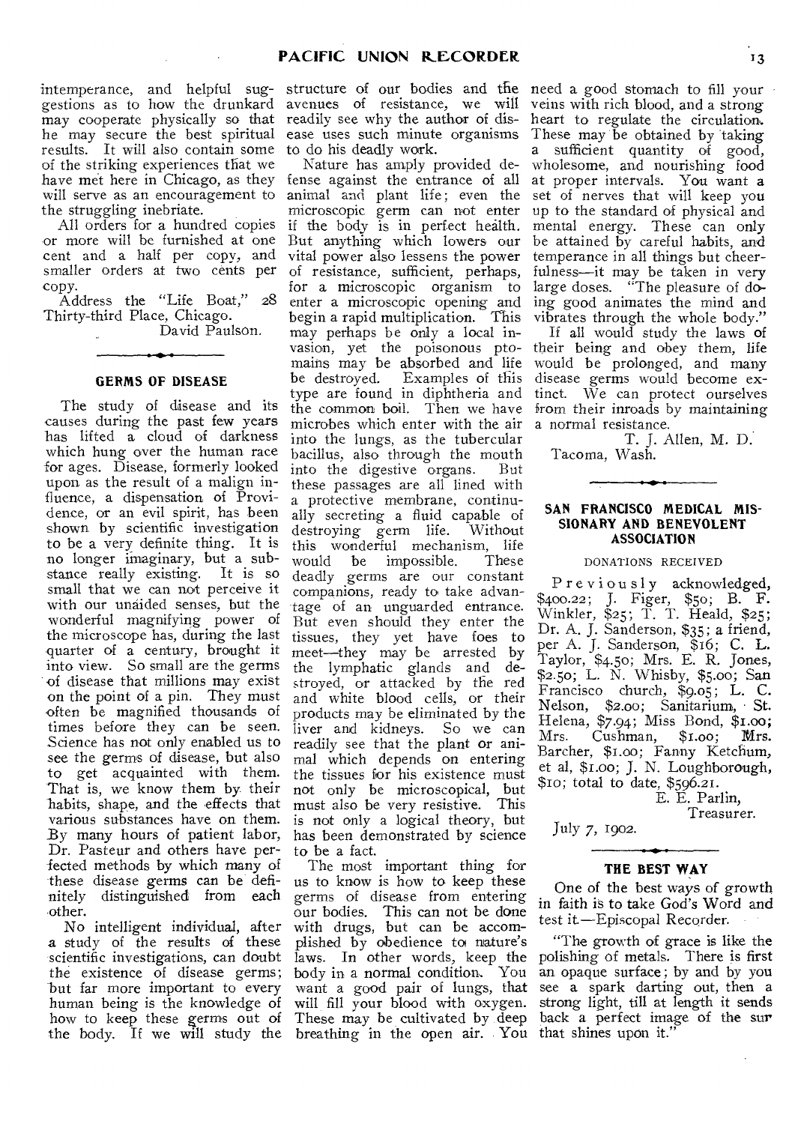intemperance, and helpful sug-structure of our bodies and the need a good stomach to fill your gestions as to how the drunkard may cooperate physically so that he may secure the best spiritual results. It will also contain some of the striking experiences that we have met here in Chicago, as they fense against the entrance of all will serve as an encouragement to the struggling inebriate.

All orders for a hundred copies or more will be furnished at one cent and a half per copy, and smaller orders at two cents per

copy.<br>Address the "Life Boat," 28 Thirty-third Place, Chicago.

David Paulson.

# **GERMS OF DISEASE**

The study of disease and its causes during the past few years has lifted a cloud of darkness which hung over the human race for ages. Disease, formerly looked upon as the result of a malign influence, a dispensation of Providence, or an evil spirit, has been shown by scientific investigation to be a very definite thing. It is no longer imaginary, but a substance really existing. small that we can not perceive it with our unaided senses, but the wonderful magnifying power of the microscope has, during the last quarter of a century, brought it into view. So small are the germs of disease that millions may exist on the point of a pin. They must often be magnified thousands of times before they can be seen. Science has not only enabled us to see the germs of disease, but also to get acquainted with them. That is, we know them by their habits, shape, and the effects that various substances have on them. By many hours of patient labor, Dr. Pasteur and others have perfected methods by which many of these disease germs can be definitely distinguished from each other.

No intelligent individual, after a study of the results of these scientific investigations, can doubt the existence of disease germs; but far more important to every human being is the knowledge of how to keep these germs out of the body. If we will study the breathing in the open air. You that shines upon it."

avenues of resistance, we will readily see why the author of disease uses such minute organisms to do his deadly work.

Nature has amply provided deanimal and plant life; even the microscopic germ can not enter if the body is in perfect health. But anything which lowers our vital power also lessens the power of resistance, sufficient, perhaps, for a microscopic organism to enter a microscopic opening and begin a rapid multiplication. This may perhaps be only a local invasion, yet the poisonous pto-their being and obey them, life mains may be absorbed and life would be prolonged, and many be destroyed. Examples of this type are found in diphtheria and the common boil. Then we have microbes which enter with the air into the lungs, as the tubercular bacillus, also through the mouth into the digestive organs. But these passages are all lined with a protective membrane, continually secreting a fluid capable of destroying germ life. Without this wonderful mechanism, life<br>would be impossible. These would be impossible. deadly germs are our constant companions, ready to take advantage of an unguarded entrance. But even should they enter the tissues, they yet have foes to meet—they may be arrested by the lymphatic glands and destroyed, or attacked by the red and white blood cells, or their products may be eliminated by the liver and kidneys. So we can readily see that the plant or animal which depends on entering the tissues for his existence must not only be microscopical, but must also be very resistive. This is not only a logical theory, but has been demonstrated by science to be a fact.

The most important thing for us to know is how to keep these germs of disease from entering our bodies. This can not be done with drugs, but can be accomplished by obedience to nature's laws. In other words, keep the body in a normal condition. You want a good pair of lungs, that will fill your blood with oxygen. These may be cultivated by deep

veins with rich blood, and a strong heart to regulate the circulation. These may be obtained by taking a sufficient quantity of good, wholesome, and nourishing food at proper intervals. You want a set of nerves that will keep you up to the standard of physical and mental energy. These can only be attained by careful habits, and temperance in all things but cheerfulness—it may be taken in very large doses. "The pleasure of doing good animates the mind and vibrates through the whole body."

If all would study the laws of disease germs would become extinct. We can protect ourselves from their inroads by maintaining a normal resistance.

T. J. Allen, M. D. Tacoma, Wash.

# **SAN FRANCISCO MEDICAL MIS-SIONARY AND BENEVOLENT ASSOCIATION**

#### DONATIONS RECEIVED

Previously acknowledged, \$400.22; J. Eiger, \$50; B. F. Winkler, \$25; T. T. Heald, \$25; Dr. A. J. Sanderson, \$35; a friend, per A. J. Sanderson, \$16; C. L. Taylor, \$4.50; Mrs. E. R. Jones, \$2.50; L. N. Whisby, \$5.00; San Francisco church, \$9.05; L. C. Nelson, \$2.00; Sanitarium, St. Helena, \$7.94; Miss Bond, \$i.00; Mrs. Cushman, \$1.00; Mrs. Barcher, \$i.00; Fanny Ketchum, et al, \$i.00; J. N. Loughborough, \$1o; total to date, \$596.21.

> E. E. Parlin, Treasurer.

July 7, 1902.

# **THE BEST WAY**

One of the best ways of growth in faith is to take God's Word and test it —Episcopal Recorder.

"The growth of grace is like the polishing of metals. There is first an opaque surface; by and by you see a spark darting out, then a strong light, till at length it sends back a perfect image of the sur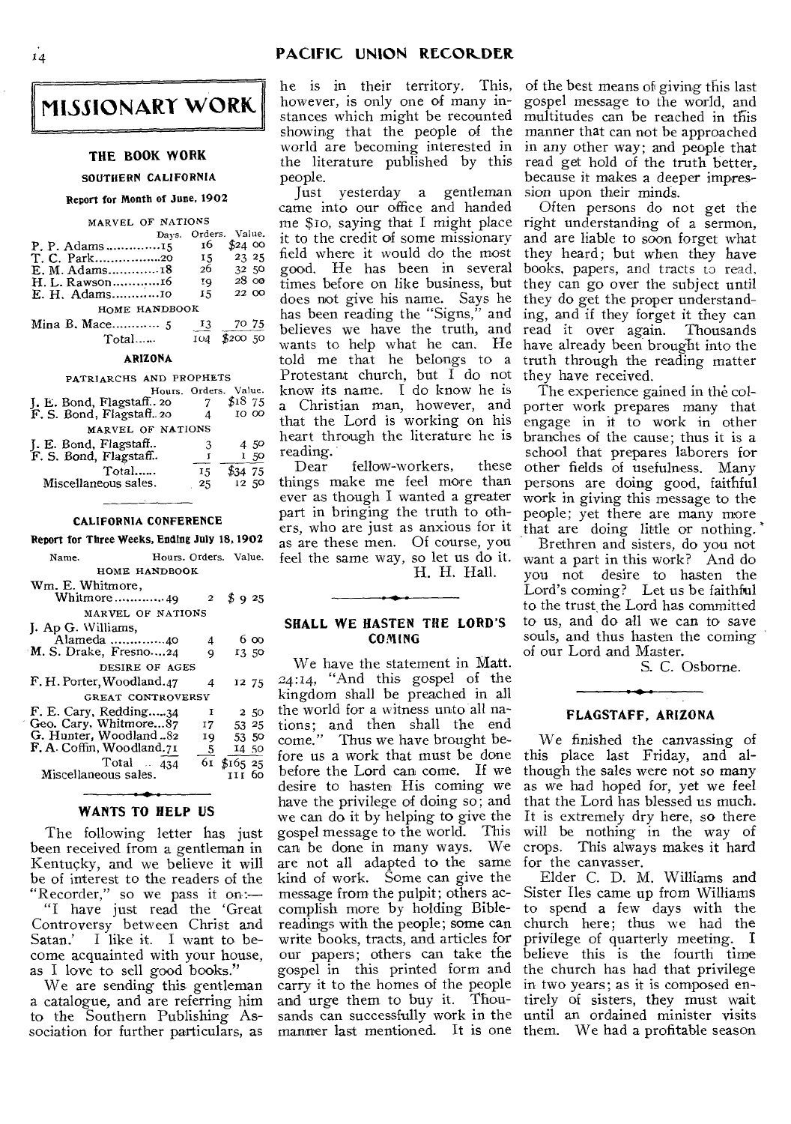**MISSIONARY WORK** 

#### **THE BOOK WORK**

#### SOUTHERN CALIFORNIA

#### Report for Month of June, 1902

#### MARVEL OF NATIONS

|                | Davs. |     | Orders. Value.         |
|----------------|-------|-----|------------------------|
| P. P. Adams 15 |       | 16  | \$240                  |
| T. C. Park20   |       | 15  | 23 25                  |
|                |       | 26  | 32 50                  |
|                |       | ŢQ. | $28 \text{ }$ $\infty$ |
|                |       | 15  | 22 00                  |
| HOME HANDBOOK  |       |     |                        |
|                |       | 13  | 70 75                  |
| Total          |       | 104 | \$200,50               |

# ARIZONA

| PATRIARCHS AND PROPHETS                              |                       |        |
|------------------------------------------------------|-----------------------|--------|
|                                                      | Hours. Orders. Value. |        |
|                                                      |                       | \$1875 |
| J. E. Bond, Flagstaff 20<br>F. S. Bond, Flagstaff 20 |                       | 10 00  |
| MARVEL OF NATIONS                                    |                       |        |
| J. E. Bond, Flagstaff<br>F. S. Bond, Flagstaff       | 3                     | 450    |
|                                                      |                       | 1,50   |
| Total                                                | 15                    | 475    |
| Miscellaneous sales.                                 | 25                    | 12 50  |
|                                                      |                       |        |

#### CALIFORNIA CONFERENCE

#### Report for Three Weeks, Ending July 18,1902

| Name.                     | Hours. Orders. Value. |              |             |       |  |  |  |
|---------------------------|-----------------------|--------------|-------------|-------|--|--|--|
| HOME HANDBOOK             |                       |              |             |       |  |  |  |
| Wm. E. Whitmore,          |                       |              |             |       |  |  |  |
| Whitmore49                |                       | $\mathbf{2}$ | \$925       |       |  |  |  |
| MARVEL OF NATIONS         |                       |              |             |       |  |  |  |
| J. Ap G. Williams,        |                       |              |             |       |  |  |  |
| Alameda 40                |                       | 4            |             | 6 00  |  |  |  |
| M. S. Drake, Fresno24     |                       | 9            |             | 13.50 |  |  |  |
| DESIRE OF AGES            |                       |              |             |       |  |  |  |
| F. H. Porter, Woodland.47 |                       | 4            |             | 12 75 |  |  |  |
| GREAT CONTROVERSY         |                       |              |             |       |  |  |  |
| F. E. Cary, Redding34     |                       | 1            |             | 2 50  |  |  |  |
| Geo. Cary, Whitmore87     |                       | 17           | 53 25       |       |  |  |  |
| G. Hunter, Woodland 82    |                       | 19           | 53 50       |       |  |  |  |
| F. A. Coffin, Woodland.71 |                       | 5.           | 14 50       |       |  |  |  |
| Total $434$               |                       |              | 61 \$165 25 |       |  |  |  |
| Miscellaneous sales.      |                       |              | ттг бо      |       |  |  |  |
|                           |                       |              |             |       |  |  |  |

### **WANTS TO HELP US**

The following letter has just been received from a gentleman in Kentucky, and we believe it will be of interest to the readers of the "Recorder," so we pass it on:—

"I have just read the 'Great Controversy between Christ and<br>Satan.' I like it. I want to be-I like it. I want to become acquainted with your house, as I love to sell good books."

We are sending this gentleman a catalogue, and are referring him to the Southern Publishing Association for further particulars, as he is in their territory. This, however, *is* only one of many instances which might be recounted showing that the people of the world are becoming interested in the literature published by this people.

Just yesterday a gentleman came into our office and handed me \$1o, saying that I might place right understanding of a sermon, it to the credit of some missionary field where it would do the most good. He has been in several times before on like business, but does not give his name. Says he has been reading the "Signs," and believes we have the truth, and wants to help what he can. He told me that he belongs to a Protestant church, but I do not know its name. I do know he is a Christian man, however, and that the Lord is working on his heart through the literature he is reading.

fellow-workers, these things make me feel more than ever as though I wanted a greater part in bringing the truth to others, who are just as anxious for it that are doing little or nothing. as are these men. Of course, you feel the same way, so let us do it. H. H. Hall.

# **SHALL WE HASTEN THE LORD'S COMING**

We have the statement in Matt. <sup>2</sup>4:14, "And this gospel of the kingdom shall be preached in all the world for a witness unto all nations; and then shall the end come." Thus we have brought before us a work that must be done before the Lord can come. If we desire to hasten His coming we have the privilege of doing so; and we can do it by helping to give the gospel message to the world. This can be done in many ways. We are not all adapted to the same kind of work. Some can give the message from the pulpit; others accomplish more by holding Biblereadings with the people; some can write books, tracts, and articles for our papers; others can take the believe this is the fourth time gospel in this printed form and the church has had that privilege carry it to the homes of the people in two years; as it is composed enand urge them to buy it. Thou-tirely of sisters, they must wait sands can successfully work in the until an ordained minister visits manner last mentioned. It is one them. We had a profitable season

of the best means of giving this last gospel message to the world, and multitudes can be reached in this manner that can not be approached in any other way; and people that read get hold of the truth better, because it makes a deeper impression upon their minds.

Often persons do not get the and are liable to soon forget what they heard; but when they have books, papers, and tracts to read, they can go over the subject until they do get the proper understanding, and if they forget it they can<br>read it over again. Thousands read it over again. have already been brought into the truth through the reading matter they have received.

The experience gained in the colporter work prepares many that engage in it to work in other branches of the cause; thus it is a school that prepares laborers for other fields of usefulness. Many persons are doing good, faithful work in giving this message to the people; yet there are many more

Brethren and sisters, do you not want a part in this work? And do you not desire to hasten the Lord's coming? Let us be faithful to the trust the Lord has committed to us, and do all we can to save souls, and thus hasten the coming of our Lord and Master.

S. C. Osborne.

### **FLAGSTAFF, ARIZONA**

We finished the canvassing of this place last Friday, and although the sales were not so many as we had hoped for, yet we feel that the Lord has blessed us much. It is extremely dry here, so there will be nothing in the way of crops. This always makes it hard for the canvasser.

Elder C. D. M. Williams and Sister Iles came up from Williams to spend a few days with the church here; thus we had the privilege of quarterly meeting. I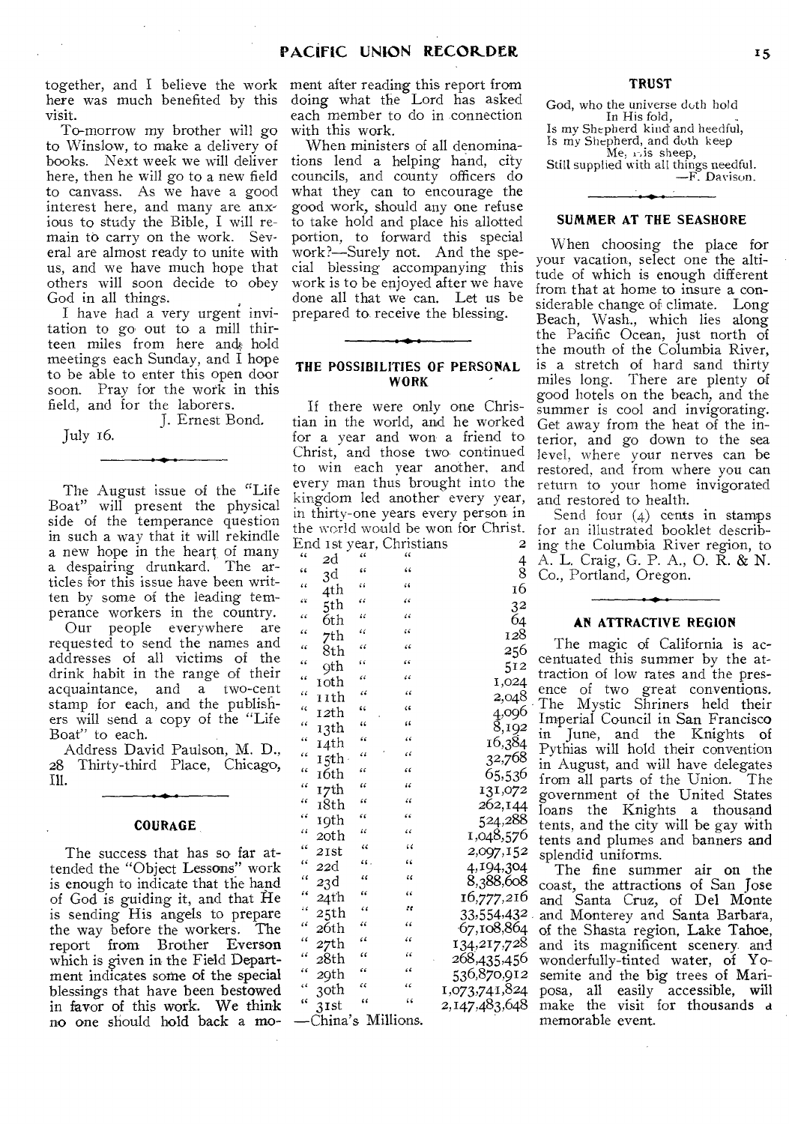together, and I believe the work ment after reading this report from here was much benefited by this visit.

To-morrow my brother will go to Winslow, to make a delivery of books. Next week we will deliver here, then he will go to a new field to canvass. As we have a good interest here, and many are anxious to study the Bible, I will remain to carry on the work. Several are almost ready to unite with us, and we have much hope that others will soon decide to obey God in all things.

I have had a very urgent invitation to go out to a mill thirteen miles from here and hold meetings each Sunday, and I hope to be able to enter this open door soon. Pray for the work in this field, and for the laborers.

J. Ernest Bond. July 16.

 $\overline{\phantom{a}}$ 

The August issue of the "Life Boat" will present the physical side of the temperance question in such a way that it will rekindle a new hope in the heart of many a despairing drunkard. The articles for this issue have been written by some of the leading temperance workers in the country.

Our people everywhere are requested to send the names and addresses of all victims of the drink habit in the range of their acquaintance, and a two-cent stamp for each, and the publishers will send a copy of the "Life Boat" to each.

Address David Paulson, M. D., 28 Thirty-third Place, Chicago, Ill.

# COURAGE

The success that has so far attended the "Object Lessons" work is enough to indicate that the hand of God is guiding it, and that He is sending His angels to prepare the way before the workers. The report from Brother Everson which is given in the Field Department indicates some of the special blessings that have been bestowed in favor of this work. We think no one should hold back a mo-—China's Millions.

doing what the Lord has asked each member to do in connection with this work.

When ministers of all denominations lend a helping hand, city councils, and county officers do what they can to encourage the good work, should any one refuse to take hold and place his allotted portion, to forward this special work?—Surely not. And the special blessing accompanying this work is to be enjoyed after we have done all that we can. Let us be prepared to receive the blessing.

# THE POSSIBILITIES OF PERSONAL WORK

If there were only one Christian in the world, and he worked for a year and won a friend to Christ, and those two continued to win each year another, and every man thus brought into the kingdom led another every year, in thirty-one years every person in the world would be won for Christ.

|                      |         |            | End 1st year, Christians | 2              |
|----------------------|---------|------------|--------------------------|----------------|
| ٤٤                   | 2d      |            |                          | $^4_8$         |
| $\zeta$              | 3d      | ٤ś         | ۷Ć                       |                |
| ٤ć                   | 4th     | i i        | $\ddot{\phantom{0}}$     | 16             |
| ćΫ                   | 5th     | "          | ٤ć                       | 3 <sup>2</sup> |
| ٤ć                   | 6th     | "          | $\epsilon$               | Ğ4             |
| $\epsilon$           | 7th     | $\epsilon$ | ćζ                       | 128            |
| 44                   | 8th     | æ          | ۷Ć                       | 256            |
| ۷ć                   | 9th     | 66         | "                        | 512            |
| ٤ś                   | 10th    | $\epsilon$ | $\epsilon$               | 1,024          |
| $\ddot{\phantom{1}}$ | 11th    | $\epsilon$ | 66                       | 2,048          |
| $\epsilon$           | 12th    | $\epsilon$ | ۷É                       | 4,096          |
| ٤ć                   | 13th    | "          | ٤٤                       | 8,192          |
| 66                   | 14th    | $\epsilon$ | 7                        | 16,384         |
| $\epsilon$           | 15th    | ۷ï         | $\epsilon$               | 32,768         |
| $\epsilon$           | 16th    | $\epsilon$ | $\epsilon$               | 65,536         |
| æ                    | 17th    | ٤ć         | "                        | 131,072        |
| $\epsilon$           | 18th    | $\epsilon$ | 46                       | 262,144        |
| ۷ć                   | 19th    | $\epsilon$ | $\epsilon$               | 524,288        |
| $\ddot{\phantom{0}}$ | 20th    | 11         | $\epsilon$               | 1,048,576      |
| $\epsilon$           | 21st    | "          | $\epsilon$               | 2,097,152      |
| $\epsilon$           | 22d     | 44.        | 66                       | 4,194,304      |
| $\epsilon$           | 23d     | "          | "                        | 8,388,608      |
| $\epsilon$           | 24th    | $\epsilon$ | $\epsilon$               | 16,777,216     |
| ٤ć                   | 25th    | $\epsilon$ | εe                       | 33,554,432     |
| $\epsilon$           | 26th    | $\epsilon$ | $\epsilon$               | 67,108,864     |
| $\epsilon$           | 27th    | ۷Ľ         | $\epsilon$               | 134,217,728    |
| $\epsilon$           | 28th    | $\epsilon$ | $\epsilon$               | 268,435,456    |
| $\epsilon$           | 29th    | $\epsilon$ | ٤ċ                       | 536,870,912    |
| ۷                    | 30th    | ۷ć         | ٤ć                       | 1,073,741,824  |
| ٤ś                   | $3$ Ist | ٤ć         | ٤ŝ                       | 2,147,483,648  |
|                      | China'n |            | $M$ illiane              |                |

God, who the universe duth hold In His fold, Is my Shepherd kind and heedful, Is my Shepherd, and doth keep Me, 1-,is sheep, Still supplied with all things needful.

TRUST

—F. Davison.

# SUMMER AT THE SEASHORE

When choosing the place for your vacation, select one the altitude of which is enough different from that at home to insure a considerable change of climate. Long Beach, Wash., which lies along the Pacific Ocean, just north of the mouth of the Columbia River, is a stretch of hard sand thirty miles long. There are plenty of good hotels on the beach, and the summer is cool and invigorating. Get away from the heat of the interior, and go down to the sea level, where your nerves can be restored, and from where you can return to your home invigorated and restored to health.

Send four (4) cents in stamps for an illustrated booklet describing the Columbia River region, to A. L. Craig, G. P. A., 0. R. & N. Co., Portland, Oregon.

# AN ATTRACTIVE REGION

The magic of California is accentuated this summer by the attraction of low rates and the presence of two great conventions. The Mystic Shriners held their Imperial Council in San Francisco in June, and the Knights of Pythias will hold their convention in August, and will have delegates from all parts of the Union. government of the United States loans the Knights a thousand tents, and the city will be gay with tents and plumes and banners and splendid uniforms.

The fine summer air on the coast, the attractions of San Jose and Santa Cruz, of Del Monte and Monterey and Santa Barbara, of the Shasta region, Lake Tahoe, and its magnificent scenery and wonderfully-tinted water, of Yosemite and the big trees of Mariposa, all easily accessible, will make the visit for thousands a memorable event.